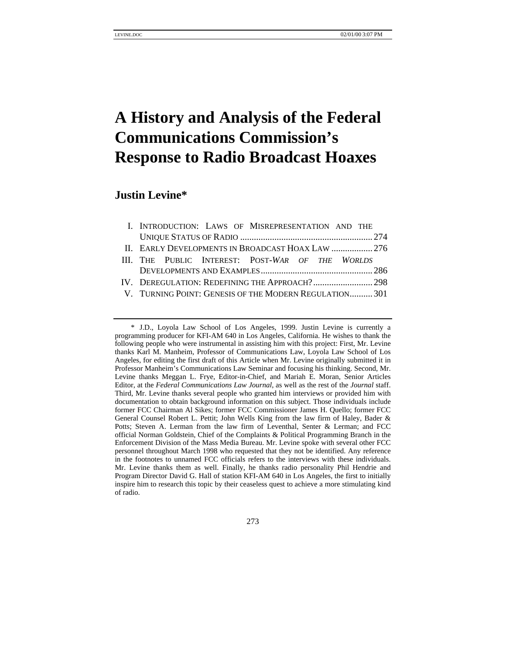# **A History and Analysis of the Federal Communications Commission's Response to Radio Broadcast Hoaxes**

# **Justin Levine\***

|                                                        |  |  |  | I. INTRODUCTION: LAWS OF MISREPRESENTATION AND THE |  |  |  |
|--------------------------------------------------------|--|--|--|----------------------------------------------------|--|--|--|
|                                                        |  |  |  |                                                    |  |  |  |
| II. EARLY DEVELOPMENTS IN BROADCAST HOAX LAW  276      |  |  |  |                                                    |  |  |  |
|                                                        |  |  |  | III. THE PUBLIC INTEREST: POST-WAR OF THE WORLDS   |  |  |  |
|                                                        |  |  |  |                                                    |  |  |  |
|                                                        |  |  |  |                                                    |  |  |  |
| V. TURNING POINT: GENESIS OF THE MODERN REGULATION 301 |  |  |  |                                                    |  |  |  |
|                                                        |  |  |  |                                                    |  |  |  |

273

<sup>\*</sup> J.D., Loyola Law School of Los Angeles, 1999. Justin Levine is currently a programming producer for KFI-AM 640 in Los Angeles, California. He wishes to thank the following people who were instrumental in assisting him with this project: First, Mr. Levine thanks Karl M. Manheim, Professor of Communications Law, Loyola Law School of Los Angeles, for editing the first draft of this Article when Mr. Levine originally submitted it in Professor Manheim's Communications Law Seminar and focusing his thinking. Second, Mr. Levine thanks Meggan L. Frye, Editor-in-Chief, and Mariah E. Moran, Senior Articles Editor, at the *Federal Communications Law Journal*, as well as the rest of the *Journal* staff. Third, Mr. Levine thanks several people who granted him interviews or provided him with documentation to obtain background information on this subject. Those individuals include former FCC Chairman Al Sikes; former FCC Commissioner James H. Quello; former FCC General Counsel Robert L. Pettit; John Wells King from the law firm of Haley, Bader & Potts; Steven A. Lerman from the law firm of Leventhal, Senter & Lerman; and FCC official Norman Goldstein, Chief of the Complaints & Political Programming Branch in the Enforcement Division of the Mass Media Bureau. Mr. Levine spoke with several other FCC personnel throughout March 1998 who requested that they not be identified. Any reference in the footnotes to unnamed FCC officials refers to the interviews with these individuals. Mr. Levine thanks them as well. Finally, he thanks radio personality Phil Hendrie and Program Director David G. Hall of station KFI-AM 640 in Los Angeles, the first to initially inspire him to research this topic by their ceaseless quest to achieve a more stimulating kind of radio.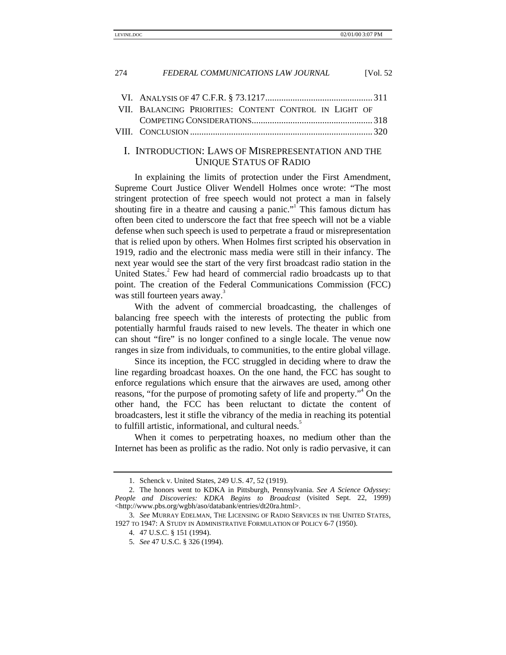| VII. BALANCING PRIORITIES: CONTENT CONTROL IN LIGHT OF |  |
|--------------------------------------------------------|--|
|                                                        |  |
|                                                        |  |

# I. INTRODUCTION: LAWS OF MISREPRESENTATION AND THE UNIQUE STATUS OF RADIO

In explaining the limits of protection under the First Amendment, Supreme Court Justice Oliver Wendell Holmes once wrote: "The most stringent protection of free speech would not protect a man in falsely shouting fire in a theatre and causing a panic."<sup>I</sup> This famous dictum has often been cited to underscore the fact that free speech will not be a viable defense when such speech is used to perpetrate a fraud or misrepresentation that is relied upon by others. When Holmes first scripted his observation in 1919, radio and the electronic mass media were still in their infancy. The next year would see the start of the very first broadcast radio station in the United States.<sup>2</sup> Few had heard of commercial radio broadcasts up to that point. The creation of the Federal Communications Commission (FCC) was still fourteen years away.<sup>3</sup>

With the advent of commercial broadcasting, the challenges of balancing free speech with the interests of protecting the public from potentially harmful frauds raised to new levels. The theater in which one can shout "fire" is no longer confined to a single locale. The venue now ranges in size from individuals, to communities, to the entire global village.

Since its inception, the FCC struggled in deciding where to draw the line regarding broadcast hoaxes. On the one hand, the FCC has sought to enforce regulations which ensure that the airwaves are used, among other reasons, "for the purpose of promoting safety of life and property."<sup>4</sup> On the other hand, the FCC has been reluctant to dictate the content of broadcasters, lest it stifle the vibrancy of the media in reaching its potential to fulfill artistic, informational, and cultural needs.<sup>5</sup>

When it comes to perpetrating hoaxes, no medium other than the Internet has been as prolific as the radio. Not only is radio pervasive, it can

<sup>1.</sup> Schenck v. United States, 249 U.S. 47, 52 (1919).

<sup>2.</sup> The honors went to KDKA in Pittsburgh, Pennsylvania. *See A Science Odyssey: People and Discoveries: KDKA Begins to Broadcast* (visited Sept. 22, 1999) <http://www.pbs.org/wgbh/aso/databank/entries/dt20ra.html>.

<sup>3.</sup> *See* MURRAY EDELMAN, THE LICENSING OF RADIO SERVICES IN THE UNITED STATES, 1927 TO 1947: A STUDY IN ADMINISTRATIVE FORMULATION OF POLICY 6-7 (1950).

<sup>4. 47</sup> U.S.C. § 151 (1994).

<sup>5.</sup> *See* 47 U.S.C. § 326 (1994).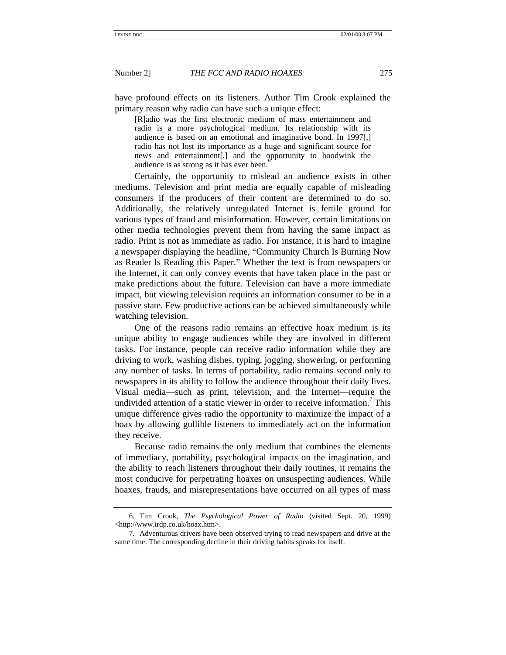have profound effects on its listeners. Author Tim Crook explained the primary reason why radio can have such a unique effect:

[R]adio was the first electronic medium of mass entertainment and radio is a more psychological medium. Its relationship with its audience is based on an emotional and imaginative bond. In 1997[,] radio has not lost its importance as a huge and significant source for news and entertainment[,] and the opportunity to hoodwink the audience is as strong as it has ever been.

Certainly, the opportunity to mislead an audience exists in other mediums. Television and print media are equally capable of misleading consumers if the producers of their content are determined to do so. Additionally, the relatively unregulated Internet is fertile ground for various types of fraud and misinformation. However, certain limitations on other media technologies prevent them from having the same impact as radio. Print is not as immediate as radio. For instance, it is hard to imagine a newspaper displaying the headline, "Community Church Is Burning Now as Reader Is Reading this Paper." Whether the text is from newspapers or the Internet, it can only convey events that have taken place in the past or make predictions about the future. Television can have a more immediate impact, but viewing television requires an information consumer to be in a passive state. Few productive actions can be achieved simultaneously while watching television.

One of the reasons radio remains an effective hoax medium is its unique ability to engage audiences while they are involved in different tasks. For instance, people can receive radio information while they are driving to work, washing dishes, typing, jogging, showering, or performing any number of tasks. In terms of portability, radio remains second only to newspapers in its ability to follow the audience throughout their daily lives. Visual media—such as print, television, and the Internet—require the undivided attention of a static viewer in order to receive information.<sup>7</sup> This unique difference gives radio the opportunity to maximize the impact of a hoax by allowing gullible listeners to immediately act on the information they receive.

Because radio remains the only medium that combines the elements of immediacy, portability, psychological impacts on the imagination, and the ability to reach listeners throughout their daily routines, it remains the most conducive for perpetrating hoaxes on unsuspecting audiences. While hoaxes, frauds, and misrepresentations have occurred on all types of mass

<sup>6.</sup> Tim Crook, *The Psychological Power of Radio* (visited Sept. 20, 1999) <http://www.irdp.co.uk/hoax.htm>.

<sup>7.</sup> Adventurous drivers have been observed trying to read newspapers and drive at the same time. The corresponding decline in their driving habits speaks for itself.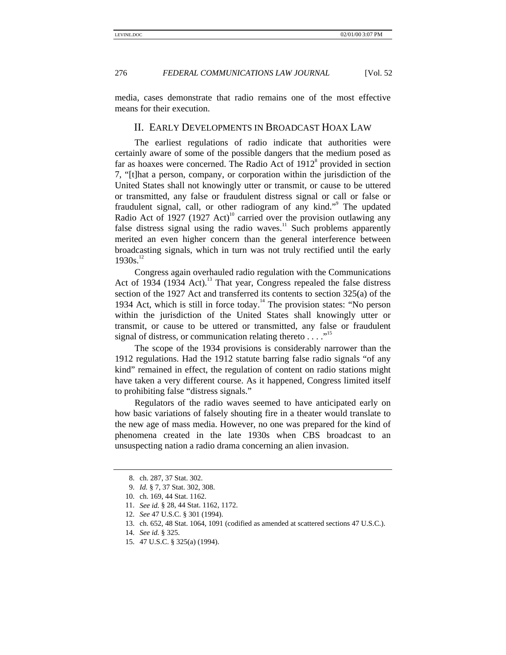media, cases demonstrate that radio remains one of the most effective means for their execution.

# II. EARLY DEVELOPMENTS IN BROADCAST HOAX LAW

The earliest regulations of radio indicate that authorities were certainly aware of some of the possible dangers that the medium posed as far as hoaxes were concerned. The Radio Act of  $1912<sup>8</sup>$  provided in section 7, "[t]hat a person, company, or corporation within the jurisdiction of the United States shall not knowingly utter or transmit, or cause to be uttered or transmitted, any false or fraudulent distress signal or call or false or fraudulent signal, call, or other radiogram of any kind."<sup>9</sup> The updated Radio Act of 1927 (1927 Act)<sup>10</sup> carried over the provision outlawing any false distress signal using the radio waves.<sup>11</sup> Such problems apparently merited an even higher concern than the general interference between broadcasting signals, which in turn was not truly rectified until the early  $1930s.<sup>12</sup>$ 

Congress again overhauled radio regulation with the Communications Act of 1934 (1934 Act).<sup>13</sup> That year, Congress repealed the false distress section of the 1927 Act and transferred its contents to section 325(a) of the 1934 Act, which is still in force today.<sup>14</sup> The provision states: "No person within the jurisdiction of the United States shall knowingly utter or transmit, or cause to be uttered or transmitted, any false or fraudulent signal of distress, or communication relating thereto  $\dots$ ."<sup>15</sup>

The scope of the 1934 provisions is considerably narrower than the 1912 regulations. Had the 1912 statute barring false radio signals "of any kind" remained in effect, the regulation of content on radio stations might have taken a very different course. As it happened, Congress limited itself to prohibiting false "distress signals."

Regulators of the radio waves seemed to have anticipated early on how basic variations of falsely shouting fire in a theater would translate to the new age of mass media. However, no one was prepared for the kind of phenomena created in the late 1930s when CBS broadcast to an unsuspecting nation a radio drama concerning an alien invasion.

<sup>8.</sup> ch. 287, 37 Stat. 302.

<sup>9.</sup> *Id.* § 7, 37 Stat. 302, 308.

<sup>10.</sup> ch. 169, 44 Stat. 1162.

<sup>11.</sup> *See id.* § 28, 44 Stat. 1162, 1172.

<sup>12.</sup> *See* 47 U.S.C. § 301 (1994).

<sup>13.</sup> ch. 652, 48 Stat. 1064, 1091 (codified as amended at scattered sections 47 U.S.C.).

<sup>14.</sup> *See id.* § 325.

<sup>15. 47</sup> U.S.C. § 325(a) (1994).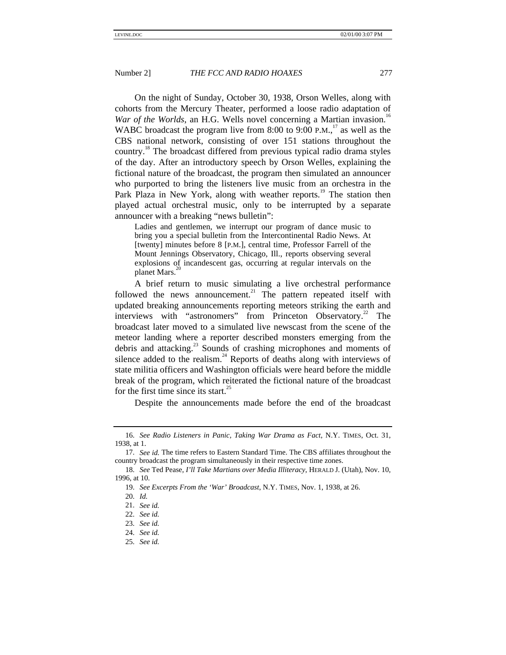On the night of Sunday, October 30, 1938, Orson Welles, along with cohorts from the Mercury Theater, performed a loose radio adaptation of *War of the Worlds*, an H.G. Wells novel concerning a Martian invasion.<sup>16</sup> WABC broadcast the program live from 8:00 to 9:00 P.M., $17$  as well as the CBS national network, consisting of over 151 stations throughout the country.<sup>18</sup> The broadcast differed from previous typical radio drama styles of the day. After an introductory speech by Orson Welles, explaining the fictional nature of the broadcast, the program then simulated an announcer who purported to bring the listeners live music from an orchestra in the Park Plaza in New York, along with weather reports.<sup>19</sup> The station then played actual orchestral music, only to be interrupted by a separate announcer with a breaking "news bulletin":

Ladies and gentlemen, we interrupt our program of dance music to bring you a special bulletin from the Intercontinental Radio News. At [twenty] minutes before 8 [P.M.], central time, Professor Farrell of the Mount Jennings Observatory, Chicago, Ill., reports observing several explosions of incandescent gas, occurring at regular intervals on the planet Mars.<sup>2</sup>

A brief return to music simulating a live orchestral performance followed the news announcement.<sup>21</sup> The pattern repeated itself with updated breaking announcements reporting meteors striking the earth and interviews with "astronomers" from Princeton Observatory.<sup>22</sup> The broadcast later moved to a simulated live newscast from the scene of the meteor landing where a reporter described monsters emerging from the debris and attacking.<sup>23</sup> Sounds of crashing microphones and moments of silence added to the realism. $^{24}$  Reports of deaths along with interviews of state militia officers and Washington officials were heard before the middle break of the program, which reiterated the fictional nature of the broadcast for the first time since its start.<sup>25</sup>

Despite the announcements made before the end of the broadcast

<sup>16.</sup> *See Radio Listeners in Panic, Taking War Drama as Fact*, N.Y. TIMES, Oct. 31, 1938, at 1.

<sup>17.</sup> *See id.* The time refers to Eastern Standard Time. The CBS affiliates throughout the country broadcast the program simultaneously in their respective time zones.

<sup>18.</sup> *See* Ted Pease, *I'll Take Martians over Media Illiteracy*, HERALD J. (Utah), Nov. 10, 1996, at 10.

<sup>19.</sup> *See Excerpts From the 'War' Broadcast*, N.Y. TIMES, Nov. 1, 1938, at 26.

<sup>20.</sup> *Id.*

<sup>21.</sup> *See id.*

<sup>22.</sup> *See id.*

<sup>23.</sup> *See id.*

<sup>24.</sup> *See id.*

<sup>25.</sup> *See id.*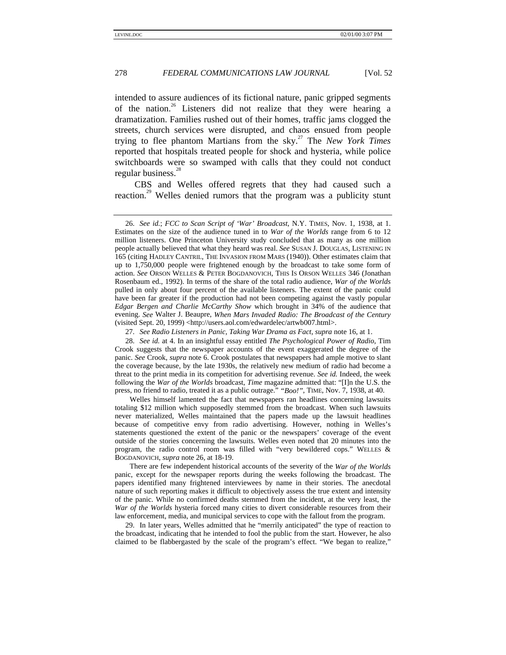intended to assure audiences of its fictional nature, panic gripped segments of the nation.<sup>26</sup> Listeners did not realize that they were hearing a dramatization. Families rushed out of their homes, traffic jams clogged the streets, church services were disrupted, and chaos ensued from people trying to flee phantom Martians from the sky.27 The *New York Times* reported that hospitals treated people for shock and hysteria, while police switchboards were so swamped with calls that they could not conduct regular business.<sup>28</sup>

CBS and Welles offered regrets that they had caused such a reaction.<sup>29</sup> Welles denied rumors that the program was a publicity stunt

28. *See id.* at 4. In an insightful essay entitled *The Psychological Power of Radio*, Tim Crook suggests that the newspaper accounts of the event exaggerated the degree of the panic. *See* Crook, *supra* note 6. Crook postulates that newspapers had ample motive to slant the coverage because, by the late 1930s, the relatively new medium of radio had become a threat to the print media in its competition for advertising revenue. *See id.* Indeed, the week following the *War of the Worlds* broadcast, *Time* magazine admitted that: "[I]n the U.S. the press, no friend to radio, treated it as a public outrage." *"Boo!"*, TIME, Nov. 7, 1938, at 40.

Welles himself lamented the fact that newspapers ran headlines concerning lawsuits totaling \$12 million which supposedly stemmed from the broadcast. When such lawsuits never materialized, Welles maintained that the papers made up the lawsuit headlines because of competitive envy from radio advertising. However, nothing in Welles's statements questioned the extent of the panic or the newspapers' coverage of the event outside of the stories concerning the lawsuits. Welles even noted that 20 minutes into the program, the radio control room was filled with "very bewildered cops." WELLES & BOGDANOVICH, *supra* note 26, at 18-19.

There are few independent historical accounts of the severity of the *War of the Worlds* panic, except for the newspaper reports during the weeks following the broadcast. The papers identified many frightened interviewees by name in their stories. The anecdotal nature of such reporting makes it difficult to objectively assess the true extent and intensity of the panic. While no confirmed deaths stemmed from the incident, at the very least, the *War of the Worlds* hysteria forced many cities to divert considerable resources from their law enforcement, media, and municipal services to cope with the fallout from the program.

29. In later years, Welles admitted that he "merrily anticipated" the type of reaction to the broadcast, indicating that he intended to fool the public from the start. However, he also claimed to be flabbergasted by the scale of the program's effect. "We began to realize,"

<sup>26.</sup> *See id.*; *FCC to Scan Script of 'War' Broadcast*, N.Y. TIMES, Nov. 1, 1938, at 1. Estimates on the size of the audience tuned in to *War of the Worlds* range from 6 to 12 million listeners. One Princeton University study concluded that as many as one million people actually believed that what they heard was real. *See* SUSAN J. DOUGLAS, LISTENING IN 165 (citing HADLEY CANTRIL, THE INVASION FROM MARS (1940)). Other estimates claim that up to 1,750,000 people were frightened enough by the broadcast to take some form of action. *See* ORSON WELLES & PETER BOGDANOVICH, THIS IS ORSON WELLES 346 (Jonathan Rosenbaum ed., 1992). In terms of the share of the total radio audience, *War of the Worlds* pulled in only about four percent of the available listeners. The extent of the panic could have been far greater if the production had not been competing against the vastly popular *Edgar Bergen and Charlie McCarthy Show* which brought in 34% of the audience that evening. *See* Walter J. Beaupre, *When Mars Invaded Radio: The Broadcast of the Century* (visited Sept. 20, 1999) <http://users.aol.com/edwardelec/artwb007.html>.

<sup>27.</sup> *See Radio Listeners in Panic, Taking War Drama as Fact*, *supra* note 16, at 1.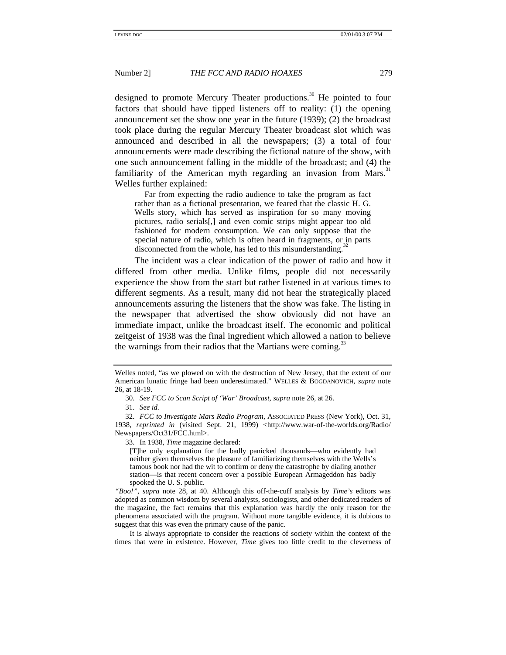designed to promote Mercury Theater productions.<sup>30</sup> He pointed to four factors that should have tipped listeners off to reality: (1) the opening announcement set the show one year in the future (1939); (2) the broadcast took place during the regular Mercury Theater broadcast slot which was announced and described in all the newspapers; (3) a total of four announcements were made describing the fictional nature of the show, with one such announcement falling in the middle of the broadcast; and (4) the familiarity of the American myth regarding an invasion from Mars.<sup>31</sup> Welles further explained:

Far from expecting the radio audience to take the program as fact rather than as a fictional presentation, we feared that the classic H. G. Wells story, which has served as inspiration for so many moving pictures, radio serials[,] and even comic strips might appear too old fashioned for modern consumption. We can only suppose that the special nature of radio, which is often heard in fragments, or in parts disconnected from the whole, has led to this misunderstanding.<sup>3</sup>

The incident was a clear indication of the power of radio and how it differed from other media. Unlike films, people did not necessarily experience the show from the start but rather listened in at various times to different segments. As a result, many did not hear the strategically placed announcements assuring the listeners that the show was fake. The listing in the newspaper that advertised the show obviously did not have an immediate impact, unlike the broadcast itself. The economic and political zeitgeist of 1938 was the final ingredient which allowed a nation to believe the warnings from their radios that the Martians were coming.<sup>33</sup>

Welles noted, "as we plowed on with the destruction of New Jersey, that the extent of our American lunatic fringe had been underestimated." WELLES & BOGDANOVICH, *supra* note 26, at 18-19.

<sup>30.</sup> *See FCC to Scan Script of 'War' Broadcast*, *supra* note 26, at 26.

<sup>31.</sup> *See id.*

<sup>32.</sup> *FCC to Investigate Mars Radio Program*, ASSOCIATED PRESS (New York), Oct. 31, 1938, *reprinted in* (visited Sept. 21, 1999) <http://www.war-of-the-worlds.org/Radio/ Newspapers/Oct31/FCC.html>.

<sup>33.</sup> In 1938, *Time* magazine declared:

<sup>[</sup>T]he only explanation for the badly panicked thousands—who evidently had neither given themselves the pleasure of familiarizing themselves with the Wells's famous book nor had the wit to confirm or deny the catastrophe by dialing another station—is that recent concern over a possible European Armageddon has badly spooked the U. S. public.

*<sup>&</sup>quot;Boo!"*, *supra* note 28, at 40. Although this off-the-cuff analysis by *Time's* editors was adopted as common wisdom by several analysts, sociologists, and other dedicated readers of the magazine, the fact remains that this explanation was hardly the only reason for the phenomena associated with the program. Without more tangible evidence, it is dubious to suggest that this was even the primary cause of the panic.

It is always appropriate to consider the reactions of society within the context of the times that were in existence. However, *Time* gives too little credit to the cleverness of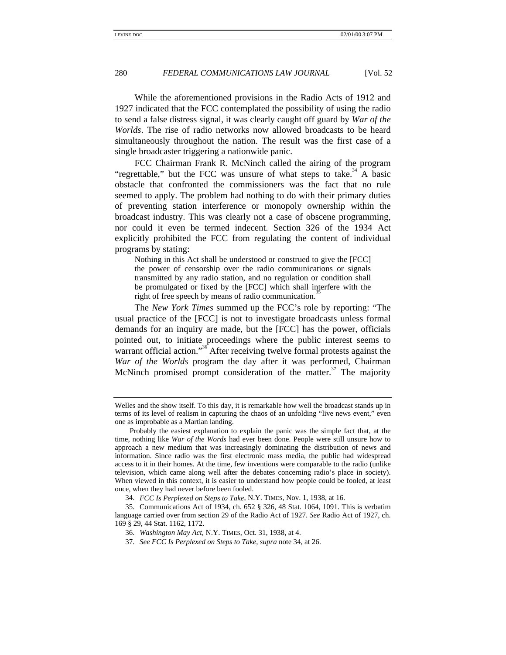While the aforementioned provisions in the Radio Acts of 1912 and 1927 indicated that the FCC contemplated the possibility of using the radio to send a false distress signal, it was clearly caught off guard by *War of the Worlds*. The rise of radio networks now allowed broadcasts to be heard simultaneously throughout the nation. The result was the first case of a single broadcaster triggering a nationwide panic.

FCC Chairman Frank R. McNinch called the airing of the program "regrettable," but the FCC was unsure of what steps to take. $34$  A basic obstacle that confronted the commissioners was the fact that no rule seemed to apply. The problem had nothing to do with their primary duties of preventing station interference or monopoly ownership within the broadcast industry. This was clearly not a case of obscene programming, nor could it even be termed indecent. Section 326 of the 1934 Act explicitly prohibited the FCC from regulating the content of individual programs by stating:

Nothing in this Act shall be understood or construed to give the [FCC] the power of censorship over the radio communications or signals transmitted by any radio station, and no regulation or condition shall be promulgated or fixed by the [FCC] which shall interfere with the right of free speech by means of radio communication.

The *New York Times* summed up the FCC's role by reporting: "The usual practice of the [FCC] is not to investigate broadcasts unless formal demands for an inquiry are made, but the [FCC] has the power, officials pointed out, to initiate proceedings where the public interest seems to warrant official action."<sup>36</sup> After receiving twelve formal protests against the *War of the Worlds* program the day after it was performed, Chairman McNinch promised prompt consideration of the matter.<sup>37</sup> The majority

Welles and the show itself. To this day, it is remarkable how well the broadcast stands up in terms of its level of realism in capturing the chaos of an unfolding "live news event," even one as improbable as a Martian landing.

Probably the easiest explanation to explain the panic was the simple fact that, at the time, nothing like *War of the Words* had ever been done. People were still unsure how to approach a new medium that was increasingly dominating the distribution of news and information. Since radio was the first electronic mass media, the public had widespread access to it in their homes. At the time, few inventions were comparable to the radio (unlike television, which came along well after the debates concerning radio's place in society). When viewed in this context, it is easier to understand how people could be fooled, at least once, when they had never before been fooled.

<sup>34.</sup> *FCC Is Perplexed on Steps to Take*, N.Y. TIMES, Nov. 1, 1938, at 16.

<sup>35.</sup> Communications Act of 1934, ch. 652 § 326, 48 Stat. 1064, 1091. This is verbatim language carried over from section 29 of the Radio Act of 1927. *See* Radio Act of 1927, ch. 169 § 29, 44 Stat. 1162, 1172.

<sup>36.</sup> *Washington May Act*, N.Y. TIMES, Oct. 31, 1938, at 4.

<sup>37.</sup> *See FCC Is Perplexed on Steps to Take*, *supra* note 34, at 26.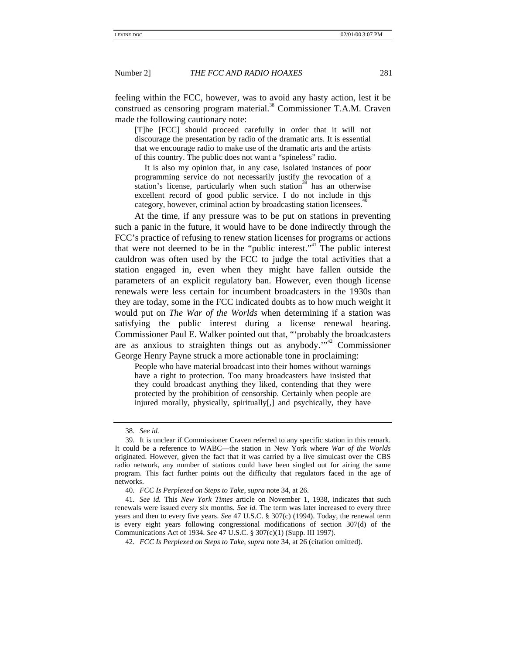feeling within the FCC, however, was to avoid any hasty action, lest it be construed as censoring program material.<sup>38</sup> Commissioner T.A.M. Craven made the following cautionary note:

[T]he [FCC] should proceed carefully in order that it will not discourage the presentation by radio of the dramatic arts. It is essential that we encourage radio to make use of the dramatic arts and the artists of this country. The public does not want a "spineless" radio.

It is also my opinion that, in any case, isolated instances of poor programming service do not necessarily justify the revocation of a station's license, particularly when such station<sup>39</sup> has an otherwise excellent record of good public service. I do not include in this category, however, criminal action by broadcasting station licensees.

At the time, if any pressure was to be put on stations in preventing such a panic in the future, it would have to be done indirectly through the FCC's practice of refusing to renew station licenses for programs or actions that were not deemed to be in the "public interest."<sup>41</sup> The public interest cauldron was often used by the FCC to judge the total activities that a station engaged in, even when they might have fallen outside the parameters of an explicit regulatory ban. However, even though license renewals were less certain for incumbent broadcasters in the 1930s than they are today, some in the FCC indicated doubts as to how much weight it would put on *The War of the Worlds* when determining if a station was satisfying the public interest during a license renewal hearing. Commissioner Paul E. Walker pointed out that, "'probably the broadcasters are as anxious to straighten things out as anybody.<sup>" $\frac{1}{2}$ </sup> Commissioner George Henry Payne struck a more actionable tone in proclaiming:

People who have material broadcast into their homes without warnings have a right to protection. Too many broadcasters have insisted that they could broadcast anything they liked, contending that they were protected by the prohibition of censorship. Certainly when people are injured morally, physically, spiritually[,] and psychically, they have

<sup>38.</sup> *See id.*

<sup>39.</sup> It is unclear if Commissioner Craven referred to any specific station in this remark. It could be a reference to WABC—the station in New York where *War of the Worlds* originated. However, given the fact that it was carried by a live simulcast over the CBS radio network, any number of stations could have been singled out for airing the same program. This fact further points out the difficulty that regulators faced in the age of networks.

<sup>40.</sup> *FCC Is Perplexed on Steps to Take*, *supra* note 34, at 26.

<sup>41.</sup> *See id.* This *New York Times* article on November 1, 1938, indicates that such renewals were issued every six months. *See id.* The term was later increased to every three years and then to every five years. *See* 47 U.S.C. § 307(c) (1994). Today, the renewal term is every eight years following congressional modifications of section 307(d) of the Communications Act of 1934. *See* 47 U.S.C. § 307(c)(1) (Supp. III 1997).

<sup>42.</sup> *FCC Is Perplexed on Steps to Take*, *supra* note 34, at 26 (citation omitted).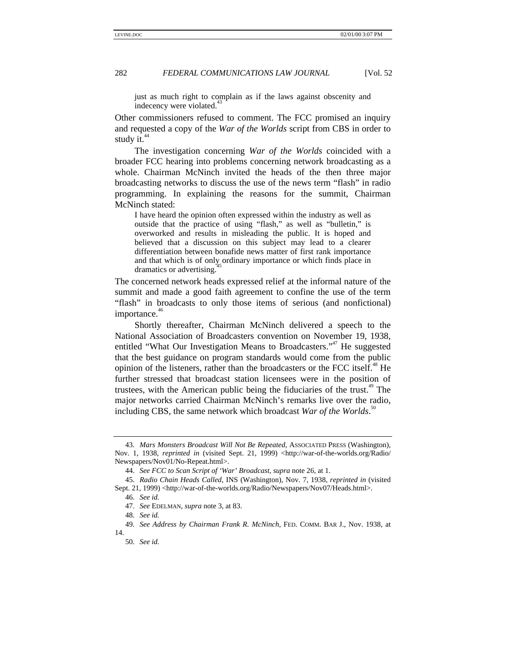just as much right to complain as if the laws against obscenity and indecency were violated.<sup>4</sup>

Other commissioners refused to comment. The FCC promised an inquiry and requested a copy of the *War of the Worlds* script from CBS in order to study it. $44$ 

The investigation concerning *War of the Worlds* coincided with a broader FCC hearing into problems concerning network broadcasting as a whole. Chairman McNinch invited the heads of the then three major broadcasting networks to discuss the use of the news term "flash" in radio programming. In explaining the reasons for the summit, Chairman McNinch stated:

I have heard the opinion often expressed within the industry as well as outside that the practice of using "flash," as well as "bulletin," is overworked and results in misleading the public. It is hoped and believed that a discussion on this subject may lead to a clearer differentiation between bonafide news matter of first rank importance and that which is of only ordinary importance or which finds place in dramatics or advertising.

The concerned network heads expressed relief at the informal nature of the summit and made a good faith agreement to confine the use of the term "flash" in broadcasts to only those items of serious (and nonfictional) importance.<sup>46</sup>

Shortly thereafter, Chairman McNinch delivered a speech to the National Association of Broadcasters convention on November 19, 1938, entitled "What Our Investigation Means to Broadcasters."<sup>47</sup> He suggested that the best guidance on program standards would come from the public opinion of the listeners, rather than the broadcasters or the FCC itself.<sup>48</sup> He further stressed that broadcast station licensees were in the position of trustees, with the American public being the fiduciaries of the trust.<sup>49</sup> The major networks carried Chairman McNinch's remarks live over the radio, including CBS, the same network which broadcast *War of the Worlds*. 50

<sup>43.</sup> *Mars Monsters Broadcast Will Not Be Repeated*, ASSOCIATED PRESS (Washington), Nov. 1, 1938, *reprinted in* (visited Sept. 21, 1999) <http://war-of-the-worlds.org/Radio/ Newspapers/Nov01/No-Repeat.html>.

<sup>44.</sup> *See FCC to Scan Script of 'War' Broadcast*, *supra* note 26, at 1.

<sup>45.</sup> *Radio Chain Heads Called*, INS (Washington), Nov. 7, 1938, *reprinted in* (visited Sept. 21, 1999) <http://war-of-the-worlds.org/Radio/Newspapers/Nov07/Heads.html>.

<sup>46.</sup> *See id.*

<sup>47.</sup> *See* EDELMAN, *supra* note 3, at 83.

<sup>48.</sup> *See id.*

<sup>49.</sup> *See Address by Chairman Frank R. McNinch*, FED. COMM. BAR J., Nov. 1938, at 14.

<sup>50.</sup> *See id.*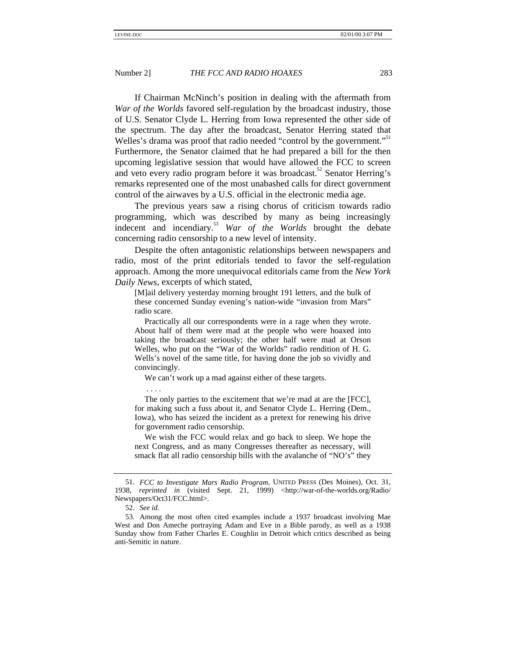If Chairman McNinch's position in dealing with the aftermath from *War of the Worlds* favored self-regulation by the broadcast industry, those of U.S. Senator Clyde L. Herring from Iowa represented the other side of the spectrum. The day after the broadcast, Senator Herring stated that Welles's drama was proof that radio needed "control by the government."<sup>51</sup> Furthermore, the Senator claimed that he had prepared a bill for the then upcoming legislative session that would have allowed the FCC to screen and veto every radio program before it was broadcast.<sup>52</sup> Senator Herring's remarks represented one of the most unabashed calls for direct government control of the airwaves by a U.S. official in the electronic media age.

The previous years saw a rising chorus of criticism towards radio programming, which was described by many as being increasingly indecent and incendiary.53 *War of the Worlds* brought the debate concerning radio censorship to a new level of intensity.

Despite the often antagonistic relationships between newspapers and radio, most of the print editorials tended to favor the self-regulation approach. Among the more unequivocal editorials came from the *New York Daily News*, excerpts of which stated,

[M]ail delivery yesterday morning brought 191 letters, and the bulk of these concerned Sunday evening's nation-wide "invasion from Mars" radio scare.

Practically all our correspondents were in a rage when they wrote. About half of them were mad at the people who were hoaxed into taking the broadcast seriously; the other half were mad at Orson Welles, who put on the "War of the Worlds" radio rendition of H. G. Wells's novel of the same title, for having done the job so vividly and convincingly.

We can't work up a mad against either of these targets.

. . . .

The only parties to the excitement that we're mad at are the [FCC], for making such a fuss about it, and Senator Clyde L. Herring (Dem., Iowa), who has seized the incident as a pretext for renewing his drive for government radio censorship.

We wish the FCC would relax and go back to sleep. We hope the next Congress, and as many Congresses thereafter as necessary, will smack flat all radio censorship bills with the avalanche of "NO's" they

<sup>51.</sup> *FCC to Investigate Mars Radio Program*, UNITED PRESS (Des Moines), Oct. 31, 1938, *reprinted in* (visited Sept. 21, 1999) <http://war-of-the-worlds.org/Radio/ Newspapers/Oct31/FCC.html>.

<sup>52.</sup> *See id.*

<sup>53.</sup> Among the most often cited examples include a 1937 broadcast involving Mae West and Don Ameche portraying Adam and Eve in a Bible parody, as well as a 1938 Sunday show from Father Charles E. Coughlin in Detroit which critics described as being anti-Semitic in nature.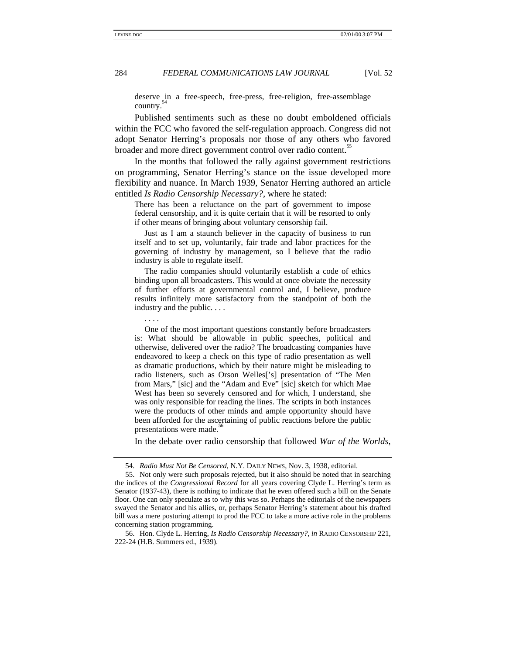deserve in a free-speech, free-press, free-religion, free-assemblage country.

Published sentiments such as these no doubt emboldened officials within the FCC who favored the self-regulation approach. Congress did not adopt Senator Herring's proposals nor those of any others who favored broader and more direct government control over radio content.<sup>55</sup>

In the months that followed the rally against government restrictions on programming, Senator Herring's stance on the issue developed more flexibility and nuance. In March 1939, Senator Herring authored an article entitled *Is Radio Censorship Necessary?*, where he stated:

There has been a reluctance on the part of government to impose federal censorship, and it is quite certain that it will be resorted to only if other means of bringing about voluntary censorship fail.

Just as I am a staunch believer in the capacity of business to run itself and to set up, voluntarily, fair trade and labor practices for the governing of industry by management, so I believe that the radio industry is able to regulate itself.

The radio companies should voluntarily establish a code of ethics binding upon all broadcasters. This would at once obviate the necessity of further efforts at governmental control and, I believe, produce results infinitely more satisfactory from the standpoint of both the industry and the public. . . .

. . . .

One of the most important questions constantly before broadcasters is: What should be allowable in public speeches, political and otherwise, delivered over the radio? The broadcasting companies have endeavored to keep a check on this type of radio presentation as well as dramatic productions, which by their nature might be misleading to radio listeners, such as Orson Welles['s] presentation of "The Men from Mars," [sic] and the "Adam and Eve" [sic] sketch for which Mae West has been so severely censored and for which, I understand, she was only responsible for reading the lines. The scripts in both instances were the products of other minds and ample opportunity should have been afforded for the ascertaining of public reactions before the public presentations were made.

In the debate over radio censorship that followed *War of the Worlds*,

<sup>54.</sup> *Radio Must Not Be Censored*, N.Y. DAILY NEWS, Nov. 3, 1938, editorial.

<sup>55.</sup> Not only were such proposals rejected, but it also should be noted that in searching the indices of the *Congressional Record* for all years covering Clyde L. Herring's term as Senator (1937-43), there is nothing to indicate that he even offered such a bill on the Senate floor. One can only speculate as to why this was so. Perhaps the editorials of the newspapers swayed the Senator and his allies, or, perhaps Senator Herring's statement about his drafted bill was a mere posturing attempt to prod the FCC to take a more active role in the problems concerning station programming.

<sup>56.</sup> Hon. Clyde L. Herring, *Is Radio Censorship Necessary?*, *in* RADIO CENSORSHIP 221, 222-24 (H.B. Summers ed., 1939).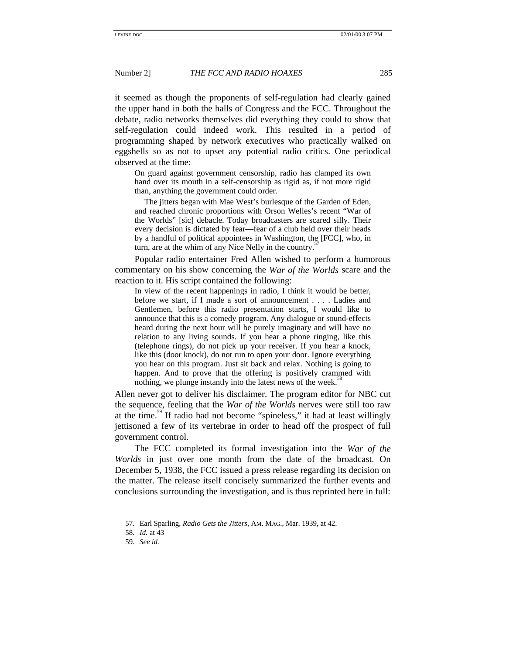it seemed as though the proponents of self-regulation had clearly gained the upper hand in both the halls of Congress and the FCC. Throughout the debate, radio networks themselves did everything they could to show that self-regulation could indeed work. This resulted in a period of programming shaped by network executives who practically walked on eggshells so as not to upset any potential radio critics. One periodical observed at the time:

On guard against government censorship, radio has clamped its own hand over its mouth in a self-censorship as rigid as, if not more rigid than, anything the government could order.

The jitters began with Mae West's burlesque of the Garden of Eden, and reached chronic proportions with Orson Welles's recent "War of the Worlds" [sic] debacle. Today broadcasters are scared silly. Their every decision is dictated by fear—fear of a club held over their heads by a handful of political appointees in Washington, the [FCC], who, in turn, are at the whim of any Nice Nelly in the country.

Popular radio entertainer Fred Allen wished to perform a humorous commentary on his show concerning the *War of the Worlds* scare and the reaction to it. His script contained the following:

In view of the recent happenings in radio, I think it would be better, before we start, if I made a sort of announcement . . . . Ladies and Gentlemen, before this radio presentation starts, I would like to announce that this is a comedy program. Any dialogue or sound-effects heard during the next hour will be purely imaginary and will have no relation to any living sounds. If you hear a phone ringing, like this (telephone rings), do not pick up your receiver. If you hear a knock, like this (door knock), do not run to open your door. Ignore everything you hear on this program. Just sit back and relax. Nothing is going to happen. And to prove that the offering is positively crammed with nothing, we plunge instantly into the latest news of the week.<sup>5</sup>

Allen never got to deliver his disclaimer. The program editor for NBC cut the sequence, feeling that the *War of the Worlds* nerves were still too raw at the time.<sup>59</sup> If radio had not become "spineless," it had at least willingly jettisoned a few of its vertebrae in order to head off the prospect of full government control.

The FCC completed its formal investigation into the *War of the Worlds* in just over one month from the date of the broadcast. On December 5, 1938, the FCC issued a press release regarding its decision on the matter. The release itself concisely summarized the further events and conclusions surrounding the investigation, and is thus reprinted here in full:

<sup>57.</sup> Earl Sparling, *Radio Gets the Jitters*, AM. MAG., Mar. 1939, at 42.

<sup>58.</sup> *Id.* at 43

<sup>59.</sup> *See id.*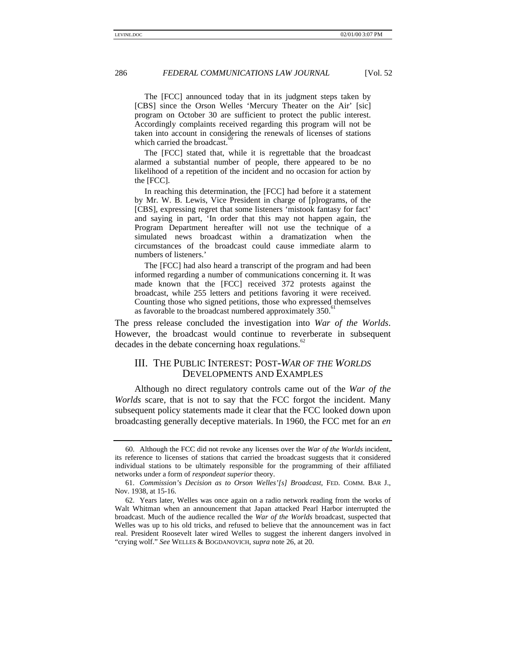The [FCC] announced today that in its judgment steps taken by [CBS] since the Orson Welles 'Mercury Theater on the Air' [sic] program on October 30 are sufficient to protect the public interest. Accordingly complaints received regarding this program will not be taken into account in considering the renewals of licenses of stations which carried the broadcast.

The [FCC] stated that, while it is regrettable that the broadcast alarmed a substantial number of people, there appeared to be no likelihood of a repetition of the incident and no occasion for action by the [FCC].

In reaching this determination, the [FCC] had before it a statement by Mr. W. B. Lewis, Vice President in charge of [p]rograms, of the [CBS], expressing regret that some listeners 'mistook fantasy for fact' and saying in part, 'In order that this may not happen again, the Program Department hereafter will not use the technique of a simulated news broadcast within a dramatization when the circumstances of the broadcast could cause immediate alarm to numbers of listeners.'

The [FCC] had also heard a transcript of the program and had been informed regarding a number of communications concerning it. It was made known that the [FCC] received 372 protests against the broadcast, while 255 letters and petitions favoring it were received. Counting those who signed petitions, those who expressed themselves as favorable to the broadcast numbered approximately 350.<sup>6</sup>

The press release concluded the investigation into *War of the Worlds*. However, the broadcast would continue to reverberate in subsequent decades in the debate concerning hoax regulations. $62$ 

# III. THE PUBLIC INTEREST: POST-*WAR OF THE WORLDS* DEVELOPMENTS AND EXAMPLES

Although no direct regulatory controls came out of the *War of the Worlds* scare, that is not to say that the FCC forgot the incident. Many subsequent policy statements made it clear that the FCC looked down upon broadcasting generally deceptive materials. In 1960, the FCC met for an *en*

<sup>60.</sup> Although the FCC did not revoke any licenses over the *War of the Worlds* incident, its reference to licenses of stations that carried the broadcast suggests that it considered individual stations to be ultimately responsible for the programming of their affiliated networks under a form of *respondeat superior* theory.

<sup>61.</sup> *Commission's Decision as to Orson Welles'[s] Broadcast*, FED. COMM. BAR J., Nov. 1938, at 15-16.

<sup>62.</sup> Years later, Welles was once again on a radio network reading from the works of Walt Whitman when an announcement that Japan attacked Pearl Harbor interrupted the broadcast. Much of the audience recalled the *War of the Worlds* broadcast, suspected that Welles was up to his old tricks, and refused to believe that the announcement was in fact real. President Roosevelt later wired Welles to suggest the inherent dangers involved in "crying wolf." *See* WELLES & BOGDANOVICH, *supra* note 26, at 20.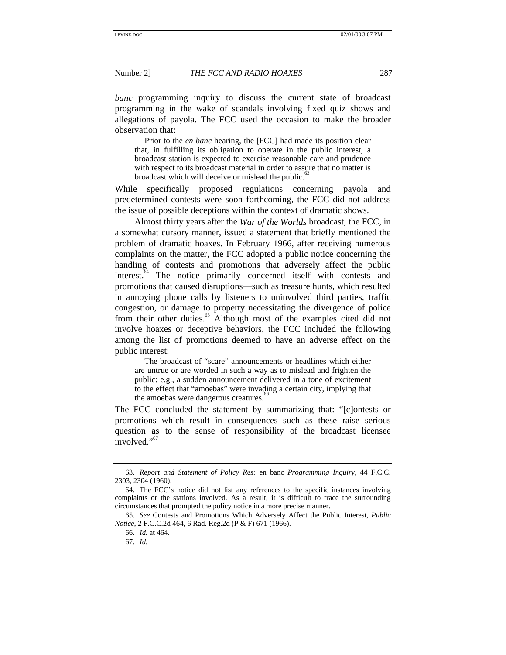*banc* programming inquiry to discuss the current state of broadcast programming in the wake of scandals involving fixed quiz shows and allegations of payola. The FCC used the occasion to make the broader observation that:

Prior to the *en banc* hearing, the [FCC] had made its position clear that, in fulfilling its obligation to operate in the public interest, a broadcast station is expected to exercise reasonable care and prudence with respect to its broadcast material in order to assure that no matter is broadcast which will deceive or mislead the public.<sup>5</sup>

While specifically proposed regulations concerning payola and predetermined contests were soon forthcoming, the FCC did not address the issue of possible deceptions within the context of dramatic shows.

Almost thirty years after the *War of the Worlds* broadcast, the FCC, in a somewhat cursory manner, issued a statement that briefly mentioned the problem of dramatic hoaxes. In February 1966, after receiving numerous complaints on the matter, the FCC adopted a public notice concerning the handling of contests and promotions that adversely affect the public interest.<sup>64</sup> The notice primarily concerned itself with contests and promotions that caused disruptions—such as treasure hunts, which resulted in annoying phone calls by listeners to uninvolved third parties, traffic congestion, or damage to property necessitating the divergence of police from their other duties.<sup>65</sup> Although most of the examples cited did not involve hoaxes or deceptive behaviors, the FCC included the following among the list of promotions deemed to have an adverse effect on the public interest:

The broadcast of "scare" announcements or headlines which either are untrue or are worded in such a way as to mislead and frighten the public: e.g., a sudden announcement delivered in a tone of excitement to the effect that "amoebas" were invading a certain city, implying that the amoebas were dangerous creatures.<sup>8</sup>

The FCC concluded the statement by summarizing that: "[c]ontests or promotions which result in consequences such as these raise serious question as to the sense of responsibility of the broadcast licensee involved."<sup>67</sup>

<sup>63.</sup> *Report and Statement of Policy Res:* en banc *Programming Inquiry*, 44 F.C.C. 2303, 2304 (1960).

<sup>64.</sup> The FCC's notice did not list any references to the specific instances involving complaints or the stations involved. As a result, it is difficult to trace the surrounding circumstances that prompted the policy notice in a more precise manner.

<sup>65.</sup> *See* Contests and Promotions Which Adversely Affect the Public Interest, *Public Notice*, 2 F.C.C.2d 464, 6 Rad. Reg.2d (P & F) 671 (1966).

<sup>66.</sup> *Id.* at 464.

<sup>67.</sup> *Id.*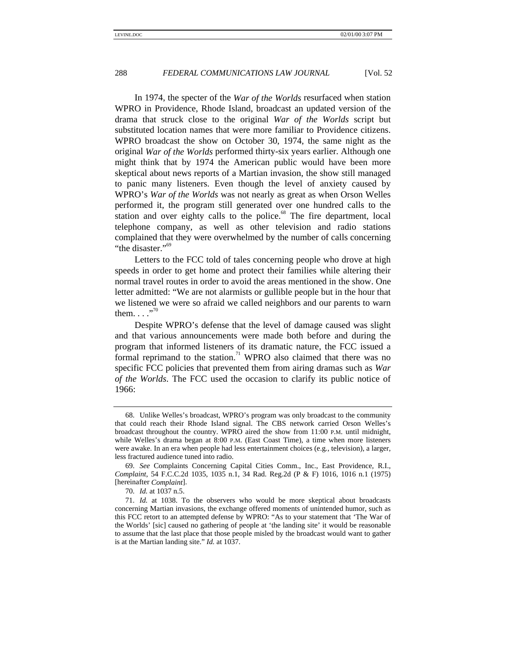In 1974, the specter of the *War of the Worlds* resurfaced when station WPRO in Providence, Rhode Island, broadcast an updated version of the drama that struck close to the original *War of the Worlds* script but substituted location names that were more familiar to Providence citizens. WPRO broadcast the show on October 30, 1974, the same night as the original *War of the Worlds* performed thirty-six years earlier. Although one might think that by 1974 the American public would have been more skeptical about news reports of a Martian invasion, the show still managed to panic many listeners. Even though the level of anxiety caused by WPRO's *War of the Worlds* was not nearly as great as when Orson Welles performed it, the program still generated over one hundred calls to the station and over eighty calls to the police. $68$  The fire department, local telephone company, as well as other television and radio stations complained that they were overwhelmed by the number of calls concerning "the disaster."<sup>69</sup>

Letters to the FCC told of tales concerning people who drove at high speeds in order to get home and protect their families while altering their normal travel routes in order to avoid the areas mentioned in the show. One letter admitted: "We are not alarmists or gullible people but in the hour that we listened we were so afraid we called neighbors and our parents to warn them.  $\ldots$ <sup>"</sup>

Despite WPRO's defense that the level of damage caused was slight and that various announcements were made both before and during the program that informed listeners of its dramatic nature, the FCC issued a formal reprimand to the station.<sup>71</sup> WPRO also claimed that there was no specific FCC policies that prevented them from airing dramas such as *War of the Worlds*. The FCC used the occasion to clarify its public notice of 1966:

<sup>68.</sup> Unlike Welles's broadcast, WPRO's program was only broadcast to the community that could reach their Rhode Island signal. The CBS network carried Orson Welles's broadcast throughout the country. WPRO aired the show from 11:00 P.M. until midnight, while Welles's drama began at 8:00 P.M. (East Coast Time), a time when more listeners were awake. In an era when people had less entertainment choices (e.g*.*, television), a larger, less fractured audience tuned into radio.

<sup>69.</sup> *See* Complaints Concerning Capital Cities Comm., Inc., East Providence, R.I., *Complaint*, 54 F.C.C.2d 1035, 1035 n.1, 34 Rad. Reg.2d (P & F) 1016, 1016 n.1 (1975) [hereinafter *Complaint*].

<sup>70.</sup> *Id.* at 1037 n.5.

<sup>71.</sup> *Id.* at 1038. To the observers who would be more skeptical about broadcasts concerning Martian invasions, the exchange offered moments of unintended humor, such as this FCC retort to an attempted defense by WPRO: "As to your statement that 'The War of the Worlds' [sic] caused no gathering of people at 'the landing site' it would be reasonable to assume that the last place that those people misled by the broadcast would want to gather is at the Martian landing site." *Id.* at 1037.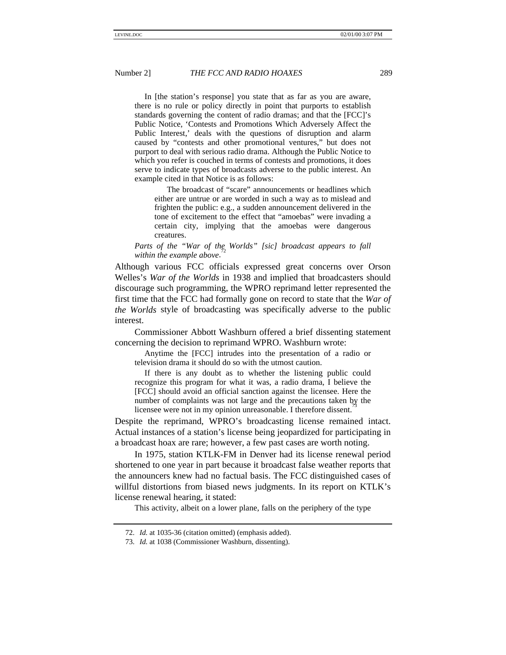In [the station's response] you state that as far as you are aware, there is no rule or policy directly in point that purports to establish standards governing the content of radio dramas; and that the [FCC]'s Public Notice, 'Contests and Promotions Which Adversely Affect the Public Interest,' deals with the questions of disruption and alarm caused by "contests and other promotional ventures," but does not purport to deal with serious radio drama. Although the Public Notice to which you refer is couched in terms of contests and promotions, it does serve to indicate types of broadcasts adverse to the public interest. An example cited in that Notice is as follows:

The broadcast of "scare" announcements or headlines which either are untrue or are worded in such a way as to mislead and frighten the public: e.g., a sudden announcement delivered in the tone of excitement to the effect that "amoebas" were invading a certain city, implying that the amoebas were dangerous creatures.

Parts of the "War of the Worlds" [sic] broadcast appears to fall *within the example above*.

Although various FCC officials expressed great concerns over Orson Welles's *War of the Worlds* in 1938 and implied that broadcasters should discourage such programming, the WPRO reprimand letter represented the first time that the FCC had formally gone on record to state that the *War of the Worlds* style of broadcasting was specifically adverse to the public interest.

Commissioner Abbott Washburn offered a brief dissenting statement concerning the decision to reprimand WPRO. Washburn wrote:

Anytime the [FCC] intrudes into the presentation of a radio or television drama it should do so with the utmost caution.

If there is any doubt as to whether the listening public could recognize this program for what it was, a radio drama, I believe the [FCC] should avoid an official sanction against the licensee. Here the number of complaints was not large and the precautions taken by the licensee were not in my opinion unreasonable. I therefore dissent.

Despite the reprimand, WPRO's broadcasting license remained intact. Actual instances of a station's license being jeopardized for participating in a broadcast hoax are rare; however, a few past cases are worth noting.

In 1975, station KTLK-FM in Denver had its license renewal period shortened to one year in part because it broadcast false weather reports that the announcers knew had no factual basis. The FCC distinguished cases of willful distortions from biased news judgments. In its report on KTLK's license renewal hearing, it stated:

This activity, albeit on a lower plane, falls on the periphery of the type

<sup>72.</sup> *Id.* at 1035-36 (citation omitted) (emphasis added).

<sup>73.</sup> *Id.* at 1038 (Commissioner Washburn, dissenting).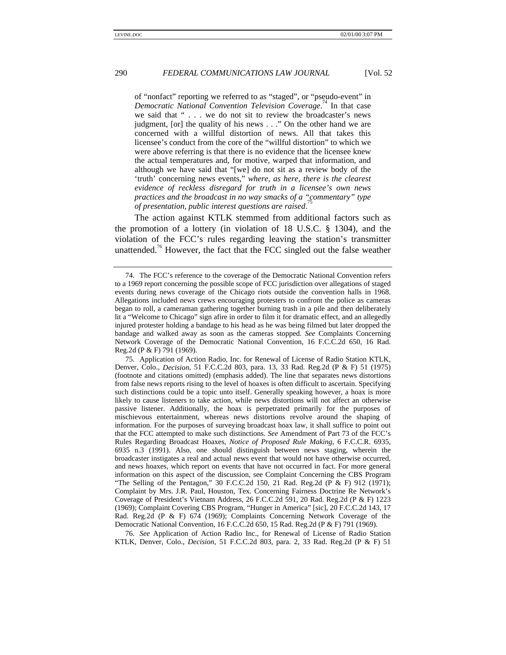of "nonfact" reporting we referred to as "staged", or "pseudo-event" in *Democratic National Convention Television Coverage*. 74 In that case we said that "... we do not sit to review the broadcaster's news judgment, [or] the quality of his news . . ." On the other hand we are concerned with a willful distortion of news. All that takes this licensee's conduct from the core of the "willful distortion" to which we were above referring is that there is no evidence that the licensee knew the actual temperatures and, for motive, warped that information, and although we have said that "[we] do not sit as a review body of the 'truth' concerning news events," *where, as here, there is the clearest evidence of reckless disregard for truth in a licensee's own news practices and the broadcast in no way smacks of a "commentary" type* 75 *of presentation, public interest questions are raised*.

The action against KTLK stemmed from additional factors such as the promotion of a lottery (in violation of 18 U.S.C. § 1304), and the violation of the FCC's rules regarding leaving the station's transmitter unattended.<sup>76</sup> However, the fact that the FCC singled out the false weather

76. *See* Application of Action Radio Inc., for Renewal of License of Radio Station KTLK, Denver, Colo., *Decision*, 51 F.C.C.2d 803, para. 2, 33 Rad. Reg.2d (P & F) 51

<sup>74.</sup> The FCC's reference to the coverage of the Democratic National Convention refers to a 1969 report concerning the possible scope of FCC jurisdiction over allegations of staged events during news coverage of the Chicago riots outside the convention halls in 1968. Allegations included news crews encouraging protesters to confront the police as cameras began to roll, a cameraman gathering together burning trash in a pile and then deliberately lit a "Welcome to Chicago" sign afire in order to film it for dramatic effect, and an allegedly injured protester holding a bandage to his head as he was being filmed but later dropped the bandage and walked away as soon as the cameras stopped. *See* Complaints Concerning Network Coverage of the Democratic National Convention, 16 F.C.C.2d 650, 16 Rad. Reg.2d (P & F) 791 (1969).

<sup>75.</sup> Application of Action Radio, Inc. for Renewal of License of Radio Station KTLK, Denver, Colo., *Decision*, 51 F.C.C.2d 803, para. 13, 33 Rad. Reg.2d (P & F) 51 (1975) (footnote and citations omitted) (emphasis added). The line that separates news distortions from false news reports rising to the level of hoaxes is often difficult to ascertain. Specifying such distinctions could be a topic unto itself. Generally speaking however, a hoax is more likely to cause listeners to take action, while news distortions will not affect an otherwise passive listener. Additionally, the hoax is perpetrated primarily for the purposes of mischievous entertainment, whereas news distortions revolve around the shaping of information. For the purposes of surveying broadcast hoax law, it shall suffice to point out that the FCC attempted to make such distinctions. *See* Amendment of Part 73 of the FCC's Rules Regarding Broadcast Hoaxes, *Notice of Proposed Rule Making*, 6 F.C.C.R. 6935, 6935 n.3 (1991). Also, one should distinguish between news staging, wherein the broadcaster instigates a real and actual news event that would not have otherwise occurred, and news hoaxes, which report on events that have not occurred in fact. For more general information on this aspect of the discussion, see Complaint Concerning the CBS Program "The Selling of the Pentagon," 30 F.C.C.2d 150, 21 Rad. Reg.2d (P & F) 912 (1971); Complaint by Mrs. J.R. Paul, Houston, Tex. Concerning Fairness Doctrine Re Network's Coverage of President's Vietnam Address, 26 F.C.C.2d 591, 20 Rad. Reg.2d (P & F) 1223 (1969); Complaint Covering CBS Program, "Hunger in America" [sic], 20 F.C.C.2d 143, 17 Rad. Reg.2d (P & F) 674 (1969); Complaints Concerning Network Coverage of the Democratic National Convention, 16 F.C.C.2d 650, 15 Rad. Reg.2d (P & F) 791 (1969).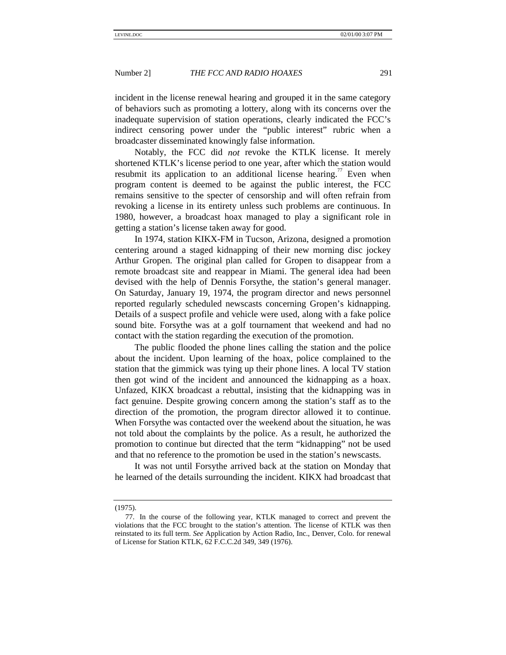incident in the license renewal hearing and grouped it in the same category of behaviors such as promoting a lottery, along with its concerns over the inadequate supervision of station operations, clearly indicated the FCC's indirect censoring power under the "public interest" rubric when a broadcaster disseminated knowingly false information.

Notably, the FCC did *not* revoke the KTLK license. It merely shortened KTLK's license period to one year, after which the station would resubmit its application to an additional license hearing.<sup>77</sup> Even when program content is deemed to be against the public interest, the FCC remains sensitive to the specter of censorship and will often refrain from revoking a license in its entirety unless such problems are continuous. In 1980, however, a broadcast hoax managed to play a significant role in getting a station's license taken away for good.

In 1974, station KIKX-FM in Tucson, Arizona, designed a promotion centering around a staged kidnapping of their new morning disc jockey Arthur Gropen. The original plan called for Gropen to disappear from a remote broadcast site and reappear in Miami. The general idea had been devised with the help of Dennis Forsythe, the station's general manager. On Saturday, January 19, 1974, the program director and news personnel reported regularly scheduled newscasts concerning Gropen's kidnapping. Details of a suspect profile and vehicle were used, along with a fake police sound bite. Forsythe was at a golf tournament that weekend and had no contact with the station regarding the execution of the promotion.

The public flooded the phone lines calling the station and the police about the incident. Upon learning of the hoax, police complained to the station that the gimmick was tying up their phone lines. A local TV station then got wind of the incident and announced the kidnapping as a hoax. Unfazed, KIKX broadcast a rebuttal, insisting that the kidnapping was in fact genuine. Despite growing concern among the station's staff as to the direction of the promotion, the program director allowed it to continue. When Forsythe was contacted over the weekend about the situation, he was not told about the complaints by the police. As a result, he authorized the promotion to continue but directed that the term "kidnapping" not be used and that no reference to the promotion be used in the station's newscasts.

It was not until Forsythe arrived back at the station on Monday that he learned of the details surrounding the incident. KIKX had broadcast that

<sup>(1975).</sup>

<sup>77.</sup> In the course of the following year, KTLK managed to correct and prevent the violations that the FCC brought to the station's attention. The license of KTLK was then reinstated to its full term. *See* Application by Action Radio, Inc., Denver, Colo. for renewal of License for Station KTLK, 62 F.C.C.2d 349, 349 (1976).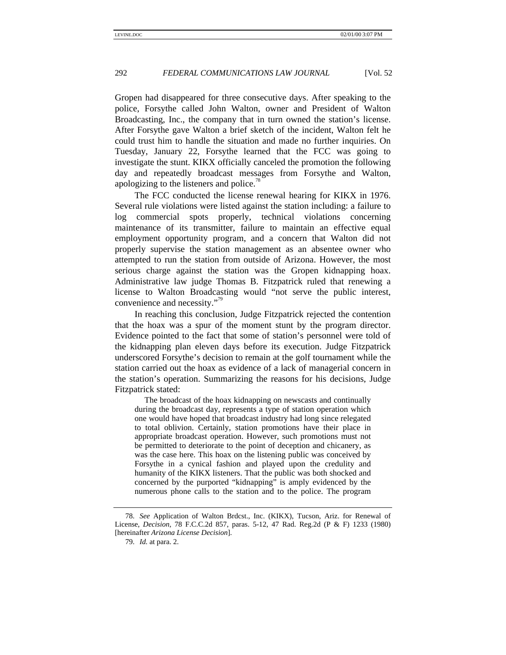Gropen had disappeared for three consecutive days. After speaking to the police, Forsythe called John Walton, owner and President of Walton Broadcasting, Inc., the company that in turn owned the station's license. After Forsythe gave Walton a brief sketch of the incident, Walton felt he could trust him to handle the situation and made no further inquiries. On Tuesday, January 22, Forsythe learned that the FCC was going to investigate the stunt. KIKX officially canceled the promotion the following day and repeatedly broadcast messages from Forsythe and Walton, apologizing to the listeners and police.<sup>78</sup>

The FCC conducted the license renewal hearing for KIKX in 1976. Several rule violations were listed against the station including: a failure to log commercial spots properly, technical violations concerning maintenance of its transmitter, failure to maintain an effective equal employment opportunity program, and a concern that Walton did not properly supervise the station management as an absentee owner who attempted to run the station from outside of Arizona. However, the most serious charge against the station was the Gropen kidnapping hoax. Administrative law judge Thomas B. Fitzpatrick ruled that renewing a license to Walton Broadcasting would "not serve the public interest, convenience and necessity."<sup>79</sup>

In reaching this conclusion, Judge Fitzpatrick rejected the contention that the hoax was a spur of the moment stunt by the program director. Evidence pointed to the fact that some of station's personnel were told of the kidnapping plan eleven days before its execution. Judge Fitzpatrick underscored Forsythe's decision to remain at the golf tournament while the station carried out the hoax as evidence of a lack of managerial concern in the station's operation. Summarizing the reasons for his decisions, Judge Fitzpatrick stated:

The broadcast of the hoax kidnapping on newscasts and continually during the broadcast day, represents a type of station operation which one would have hoped that broadcast industry had long since relegated to total oblivion. Certainly, station promotions have their place in appropriate broadcast operation. However, such promotions must not be permitted to deteriorate to the point of deception and chicanery, as was the case here. This hoax on the listening public was conceived by Forsythe in a cynical fashion and played upon the credulity and humanity of the KIKX listeners. That the public was both shocked and concerned by the purported "kidnapping" is amply evidenced by the numerous phone calls to the station and to the police. The program

<sup>78.</sup> *See* Application of Walton Brdcst., Inc. (KIKX), Tucson, Ariz. for Renewal of License, *Decision*, 78 F.C.C.2d 857, paras. 5-12, 47 Rad. Reg.2d (P & F) 1233 (1980) [hereinafter *Arizona License Decision*].

<sup>79.</sup> *Id.* at para. 2.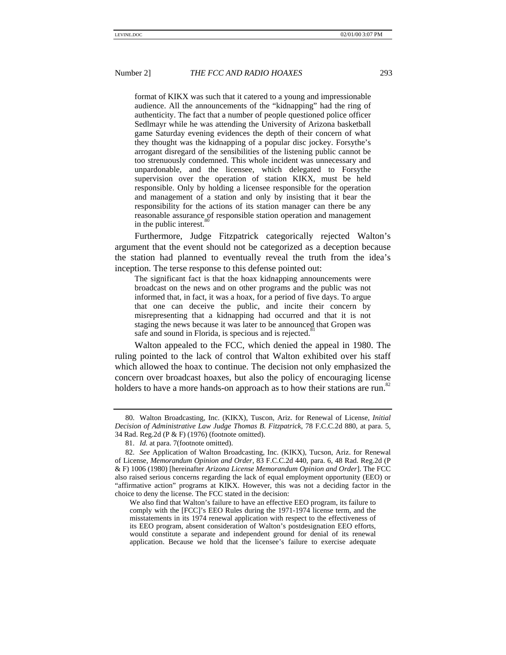format of KIKX was such that it catered to a young and impressionable audience. All the announcements of the "kidnapping" had the ring of authenticity. The fact that a number of people questioned police officer Sedlmayr while he was attending the University of Arizona basketball game Saturday evening evidences the depth of their concern of what they thought was the kidnapping of a popular disc jockey. Forsythe's arrogant disregard of the sensibilities of the listening public cannot be too strenuously condemned. This whole incident was unnecessary and unpardonable, and the licensee, which delegated to Forsythe supervision over the operation of station KIKX, must be held responsible. Only by holding a licensee responsible for the operation and management of a station and only by insisting that it bear the responsibility for the actions of its station manager can there be any reasonable assurance of responsible station operation and management in the public interest.

Furthermore, Judge Fitzpatrick categorically rejected Walton's argument that the event should not be categorized as a deception because the station had planned to eventually reveal the truth from the idea's inception. The terse response to this defense pointed out:

The significant fact is that the hoax kidnapping announcements were broadcast on the news and on other programs and the public was not informed that, in fact, it was a hoax, for a period of five days. To argue that one can deceive the public, and incite their concern by misrepresenting that a kidnapping had occurred and that it is not staging the news because it was later to be announced that Gropen was safe and sound in Florida, is specious and is rejected.<sup>8</sup>

Walton appealed to the FCC, which denied the appeal in 1980. The ruling pointed to the lack of control that Walton exhibited over his staff which allowed the hoax to continue. The decision not only emphasized the concern over broadcast hoaxes, but also the policy of encouraging license holders to have a more hands-on approach as to how their stations are run.<sup>82</sup>

<sup>80.</sup> Walton Broadcasting, Inc. (KIKX), Tuscon, Ariz. for Renewal of License, *Initial Decision of Administrative Law Judge Thomas B. Fitzpatrick*, 78 F.C.C.2d 880, at para. 5, 34 Rad. Reg.2d (P & F) (1976) (footnote omitted).

<sup>81.</sup> *Id.* at para. 7(footnote omitted).

<sup>82.</sup> *See* Application of Walton Broadcasting, Inc. (KIKX), Tucson, Ariz. for Renewal of License, *Memorandum Opinion and Order*, 83 F.C.C.2d 440, para. 6, 48 Rad. Reg.2d (P & F) 1006 (1980) [hereinafter *Arizona License Memorandum Opinion and Order*]. The FCC also raised serious concerns regarding the lack of equal employment opportunity (EEO) or "affirmative action" programs at KIKX. However, this was not a deciding factor in the choice to deny the license. The FCC stated in the decision:

We also find that Walton's failure to have an effective EEO program, its failure to comply with the [FCC]'s EEO Rules during the 1971-1974 license term, and the misstatements in its 1974 renewal application with respect to the effectiveness of its EEO program, absent consideration of Walton's postdesignation EEO efforts, would constitute a separate and independent ground for denial of its renewal application. Because we hold that the licensee's failure to exercise adequate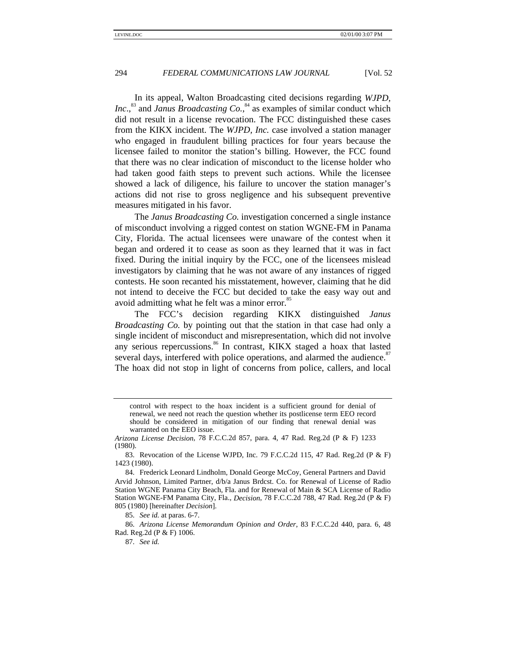In its appeal, Walton Broadcasting cited decisions regarding *WJPD,* Inc.,<sup>83</sup> and *Janus Broadcasting Co.*,<sup>84</sup> as examples of similar conduct which did not result in a license revocation. The FCC distinguished these cases from the KIKX incident. The *WJPD, Inc.* case involved a station manager who engaged in fraudulent billing practices for four years because the licensee failed to monitor the station's billing. However, the FCC found that there was no clear indication of misconduct to the license holder who had taken good faith steps to prevent such actions. While the licensee showed a lack of diligence, his failure to uncover the station manager's actions did not rise to gross negligence and his subsequent preventive measures mitigated in his favor.

The *Janus Broadcasting Co.* investigation concerned a single instance of misconduct involving a rigged contest on station WGNE-FM in Panama City, Florida. The actual licensees were unaware of the contest when it began and ordered it to cease as soon as they learned that it was in fact fixed. During the initial inquiry by the FCC, one of the licensees mislead investigators by claiming that he was not aware of any instances of rigged contests. He soon recanted his misstatement, however, claiming that he did not intend to deceive the FCC but decided to take the easy way out and avoid admitting what he felt was a minor error.<sup>85</sup>

The FCC's decision regarding KIKX distinguished *Janus Broadcasting Co.* by pointing out that the station in that case had only a single incident of misconduct and misrepresentation, which did not involve any serious repercussions.<sup>86</sup> In contrast, KIKX staged a hoax that lasted several days, interfered with police operations, and alarmed the audience.<sup>87</sup> The hoax did not stop in light of concerns from police, callers, and local

85. *See id.* at paras. 6-7.

86. *Arizona License Memorandum Opinion and Order*, 83 F.C.C.2d 440, para. 6, 48 Rad. Reg.2d (P & F) 1006.

87. *See id.*

control with respect to the hoax incident is a sufficient ground for denial of renewal, we need not reach the question whether its postlicense term EEO record should be considered in mitigation of our finding that renewal denial was warranted on the EEO issue.

*Arizona License Decision*, 78 F.C.C.2d 857, para. 4, 47 Rad. Reg.2d (P & F) 1233 (1980).

<sup>83.</sup> Revocation of the License WJPD, Inc. 79 F.C.C.2d 115, 47 Rad. Reg.2d (P & F) 1423 (1980).

<sup>84.</sup> Frederick Leonard Lindholm, Donald George McCoy, General Partners and David Arvid Johnson, Limited Partner, d/b/a Janus Brdcst. Co. for Renewal of License of Radio Station WGNE Panama City Beach, Fla. and for Renewal of Main & SCA License of Radio Station WGNE-FM Panama City, Fla., *Decision*, 78 F.C.C.2d 788, 47 Rad. Reg.2d (P & F) 805 (1980) [hereinafter *Decision*].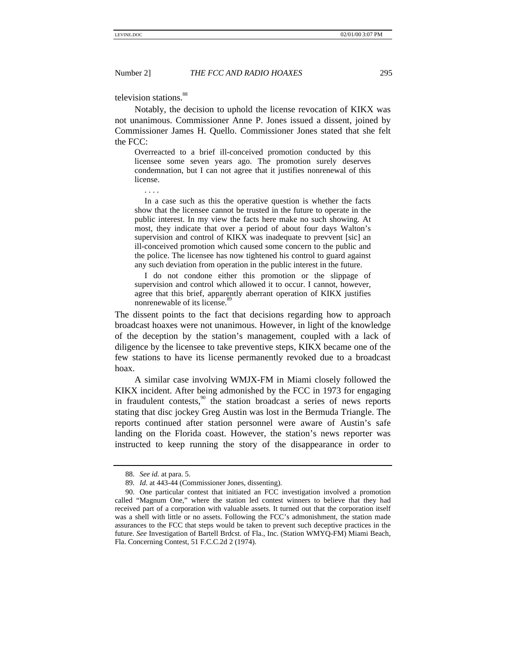television stations.<sup>88</sup>

Notably, the decision to uphold the license revocation of KIKX was not unanimous. Commissioner Anne P. Jones issued a dissent, joined by Commissioner James H. Quello. Commissioner Jones stated that she felt the FCC:

Overreacted to a brief ill-conceived promotion conducted by this licensee some seven years ago. The promotion surely deserves condemnation, but I can not agree that it justifies nonrenewal of this license.

. . . .

In a case such as this the operative question is whether the facts show that the licensee cannot be trusted in the future to operate in the public interest. In my view the facts here make no such showing. At most, they indicate that over a period of about four days Walton's supervision and control of KIKX was inadequate to prevvent [sic] an ill-conceived promotion which caused some concern to the public and the police. The licensee has now tightened his control to guard against any such deviation from operation in the public interest in the future.

I do not condone either this promotion or the slippage of supervision and control which allowed it to occur. I cannot, however, agree that this brief, apparently aberrant operation of KIKX justifies nonrenewable of its license.

The dissent points to the fact that decisions regarding how to approach broadcast hoaxes were not unanimous. However, in light of the knowledge of the deception by the station's management, coupled with a lack of diligence by the licensee to take preventive steps, KIKX became one of the few stations to have its license permanently revoked due to a broadcast hoax.

A similar case involving WMJX-FM in Miami closely followed the KIKX incident. After being admonished by the FCC in 1973 for engaging in fraudulent contests, $\frac{90}{9}$  the station broadcast a series of news reports stating that disc jockey Greg Austin was lost in the Bermuda Triangle. The reports continued after station personnel were aware of Austin's safe landing on the Florida coast. However, the station's news reporter was instructed to keep running the story of the disappearance in order to

<sup>88.</sup> *See id.* at para. 5.

<sup>89.</sup> *Id.* at 443-44 (Commissioner Jones, dissenting).

<sup>90.</sup> One particular contest that initiated an FCC investigation involved a promotion called "Magnum One," where the station led contest winners to believe that they had received part of a corporation with valuable assets. It turned out that the corporation itself was a shell with little or no assets. Following the FCC's admonishment, the station made assurances to the FCC that steps would be taken to prevent such deceptive practices in the future. *See* Investigation of Bartell Brdcst. of Fla., Inc. (Station WMYQ-FM) Miami Beach, Fla. Concerning Contest, 51 F.C.C.2d 2 (1974).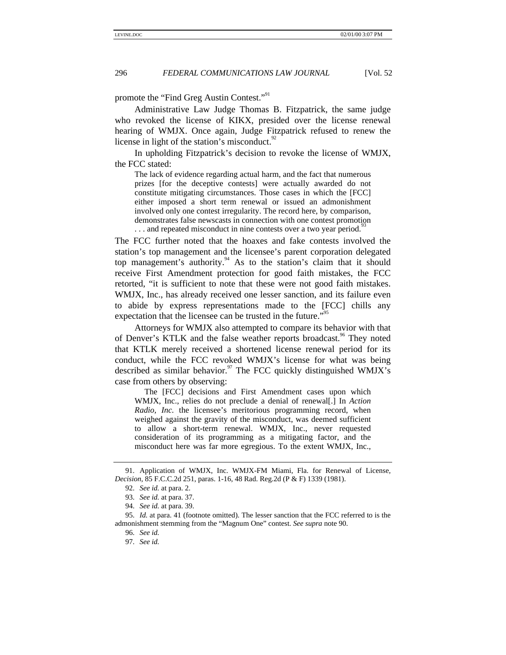promote the "Find Greg Austin Contest."<sup>91</sup>

Administrative Law Judge Thomas B. Fitzpatrick, the same judge who revoked the license of KIKX, presided over the license renewal hearing of WMJX. Once again, Judge Fitzpatrick refused to renew the license in light of the station's misconduct. $32$ 

In upholding Fitzpatrick's decision to revoke the license of WMJX, the FCC stated:

The lack of evidence regarding actual harm, and the fact that numerous prizes [for the deceptive contests] were actually awarded do not constitute mitigating circumstances. Those cases in which the [FCC] either imposed a short term renewal or issued an admonishment involved only one contest irregularity. The record here, by comparison, demonstrates false newscasts in connection with one contest promotion ... and repeated misconduct in nine contests over a two year period.<sup>9</sup>

The FCC further noted that the hoaxes and fake contests involved the station's top management and the licensee's parent corporation delegated top management's authority.<sup>94</sup> As to the station's claim that it should receive First Amendment protection for good faith mistakes, the FCC retorted, "it is sufficient to note that these were not good faith mistakes. WMJX, Inc., has already received one lesser sanction, and its failure even to abide by express representations made to the [FCC] chills any expectation that the licensee can be trusted in the future."<sup>95</sup>

Attorneys for WMJX also attempted to compare its behavior with that of Denver's KTLK and the false weather reports broadcast.<sup>96</sup> They noted that KTLK merely received a shortened license renewal period for its conduct, while the FCC revoked WMJX's license for what was being described as similar behavior.<sup>97</sup> The FCC quickly distinguished WMJX's case from others by observing:

The [FCC] decisions and First Amendment cases upon which WMJX, Inc., relies do not preclude a denial of renewal[.] In *Action Radio, Inc.* the licensee's meritorious programming record, when weighed against the gravity of the misconduct, was deemed sufficient to allow a short-term renewal. WMJX, Inc., never requested consideration of its programming as a mitigating factor, and the misconduct here was far more egregious. To the extent WMJX, Inc.,

<sup>91.</sup> Application of WMJX, Inc. WMJX-FM Miami, Fla. for Renewal of License, *Decision*, 85 F.C.C.2d 251, paras. 1-16, 48 Rad. Reg.2d (P & F) 1339 (1981).

<sup>92.</sup> *See id.* at para. 2.

<sup>93.</sup> *See id.* at para. 37.

<sup>94.</sup> *See id.* at para. 39.

<sup>95.</sup> *Id.* at para. 41 (footnote omitted). The lesser sanction that the FCC referred to is the admonishment stemming from the "Magnum One" contest. *See supra* note 90.

<sup>96.</sup> *See id.*

<sup>97.</sup> *See id.*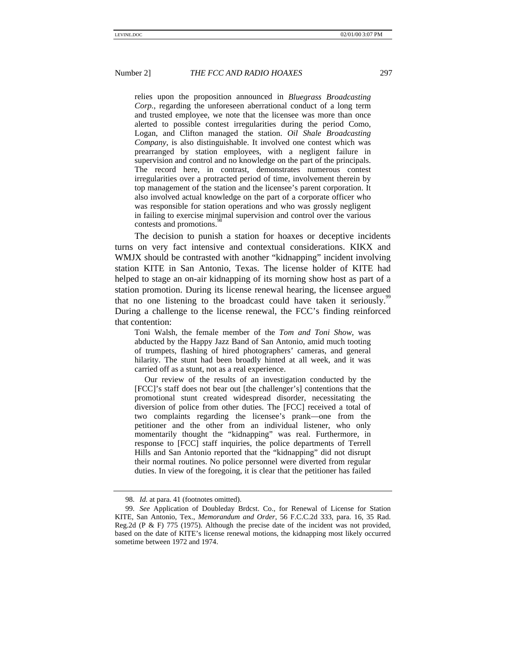relies upon the proposition announced in *Bluegrass Broadcasting Corp.*, regarding the unforeseen aberrational conduct of a long term and trusted employee, we note that the licensee was more than once alerted to possible contest irregularities during the period Como, Logan, and Clifton managed the station. *Oil Shale Broadcasting Company*, is also distinguishable. It involved one contest which was prearranged by station employees, with a negligent failure in supervision and control and no knowledge on the part of the principals. The record here, in contrast, demonstrates numerous contest irregularities over a protracted period of time, involvement therein by top management of the station and the licensee's parent corporation. It also involved actual knowledge on the part of a corporate officer who was responsible for station operations and who was grossly negligent in failing to exercise minimal supervision and control over the various contests and promotions.

The decision to punish a station for hoaxes or deceptive incidents turns on very fact intensive and contextual considerations. KIKX and WMJX should be contrasted with another "kidnapping" incident involving station KITE in San Antonio, Texas. The license holder of KITE had helped to stage an on-air kidnapping of its morning show host as part of a station promotion. During its license renewal hearing, the licensee argued that no one listening to the broadcast could have taken it seriously.<sup>99</sup> During a challenge to the license renewal, the FCC's finding reinforced that contention:

Toni Walsh, the female member of the *Tom and Toni Show*, was abducted by the Happy Jazz Band of San Antonio, amid much tooting of trumpets, flashing of hired photographers' cameras, and general hilarity. The stunt had been broadly hinted at all week, and it was carried off as a stunt, not as a real experience.

Our review of the results of an investigation conducted by the [FCC]'s staff does not bear out [the challenger's] contentions that the promotional stunt created widespread disorder, necessitating the diversion of police from other duties. The [FCC] received a total of two complaints regarding the licensee's prank—one from the petitioner and the other from an individual listener, who only momentarily thought the "kidnapping" was real. Furthermore, in response to [FCC] staff inquiries, the police departments of Terrell Hills and San Antonio reported that the "kidnapping" did not disrupt their normal routines. No police personnel were diverted from regular duties. In view of the foregoing, it is clear that the petitioner has failed

<sup>98.</sup> *Id.* at para. 41 (footnotes omitted).

<sup>99.</sup> *See* Application of Doubleday Brdcst. Co., for Renewal of License for Station KITE, San Antonio, Tex., *Memorandum and Order*, 56 F.C.C.2d 333, para. 16, 35 Rad. Reg.2d (P & F) 775 (1975). Although the precise date of the incident was not provided, based on the date of KITE's license renewal motions, the kidnapping most likely occurred sometime between 1972 and 1974.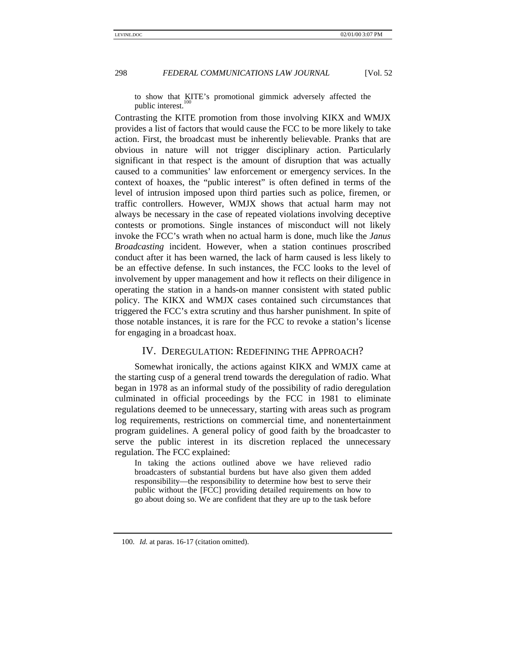to show that KITE's promotional gimmick adversely affected the public interest.

Contrasting the KITE promotion from those involving KIKX and WMJX provides a list of factors that would cause the FCC to be more likely to take action. First, the broadcast must be inherently believable. Pranks that are obvious in nature will not trigger disciplinary action. Particularly significant in that respect is the amount of disruption that was actually caused to a communities' law enforcement or emergency services. In the context of hoaxes, the "public interest" is often defined in terms of the level of intrusion imposed upon third parties such as police, firemen, or traffic controllers. However, WMJX shows that actual harm may not always be necessary in the case of repeated violations involving deceptive contests or promotions. Single instances of misconduct will not likely invoke the FCC's wrath when no actual harm is done, much like the *Janus Broadcasting* incident. However, when a station continues proscribed conduct after it has been warned, the lack of harm caused is less likely to be an effective defense. In such instances, the FCC looks to the level of involvement by upper management and how it reflects on their diligence in operating the station in a hands-on manner consistent with stated public policy. The KIKX and WMJX cases contained such circumstances that triggered the FCC's extra scrutiny and thus harsher punishment. In spite of those notable instances, it is rare for the FCC to revoke a station's license for engaging in a broadcast hoax.

### IV. DEREGULATION: REDEFINING THE APPROACH?

Somewhat ironically, the actions against KIKX and WMJX came at the starting cusp of a general trend towards the deregulation of radio. What began in 1978 as an informal study of the possibility of radio deregulation culminated in official proceedings by the FCC in 1981 to eliminate regulations deemed to be unnecessary, starting with areas such as program log requirements, restrictions on commercial time, and nonentertainment program guidelines. A general policy of good faith by the broadcaster to serve the public interest in its discretion replaced the unnecessary regulation. The FCC explained:

In taking the actions outlined above we have relieved radio broadcasters of substantial burdens but have also given them added responsibility—the responsibility to determine how best to serve their public without the [FCC] providing detailed requirements on how to go about doing so. We are confident that they are up to the task before

<sup>100.</sup> *Id.* at paras. 16-17 (citation omitted).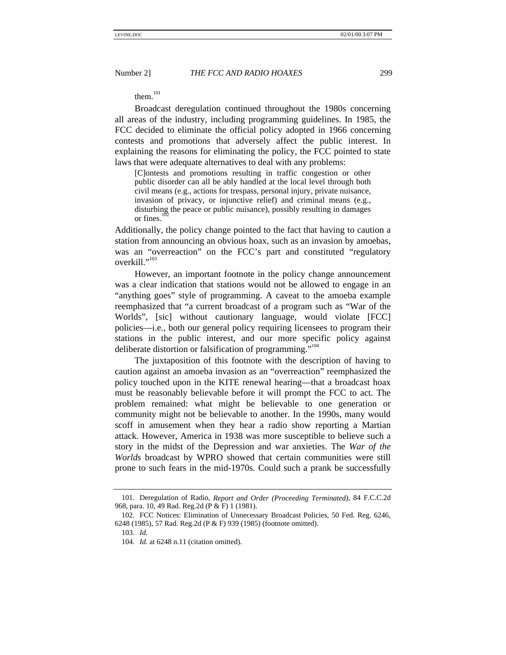them.<sup>101</sup>

Broadcast deregulation continued throughout the 1980s concerning all areas of the industry, including programming guidelines. In 1985, the FCC decided to eliminate the official policy adopted in 1966 concerning contests and promotions that adversely affect the public interest. In explaining the reasons for eliminating the policy, the FCC pointed to state laws that were adequate alternatives to deal with any problems:

[C]ontests and promotions resulting in traffic congestion or other public disorder can all be ably handled at the local level through both civil means (e.g., actions for trespass, personal injury, private nuisance, invasion of privacy, or injunctive relief) and criminal means (e.g., disturbing the peace or public nuisance), possibly resulting in damages or fines.

Additionally, the policy change pointed to the fact that having to caution a station from announcing an obvious hoax, such as an invasion by amoebas, was an "overreaction" on the FCC's part and constituted "regulatory" overkill."<sup>103</sup>

However, an important footnote in the policy change announcement was a clear indication that stations would not be allowed to engage in an "anything goes" style of programming. A caveat to the amoeba example reemphasized that "a current broadcast of a program such as "War of the Worlds", [sic] without cautionary language, would violate [FCC] policies—i.e*.*, both our general policy requiring licensees to program their stations in the public interest, and our more specific policy against deliberate distortion or falsification of programming."<sup>104</sup>

The juxtaposition of this footnote with the description of having to caution against an amoeba invasion as an "overreaction" reemphasized the policy touched upon in the KITE renewal hearing—that a broadcast hoax must be reasonably believable before it will prompt the FCC to act. The problem remained: what might be believable to one generation or community might not be believable to another. In the 1990s, many would scoff in amusement when they hear a radio show reporting a Martian attack. However, America in 1938 was more susceptible to believe such a story in the midst of the Depression and war anxieties. The *War of the Worlds* broadcast by WPRO showed that certain communities were still prone to such fears in the mid-1970s. Could such a prank be successfully

<sup>101.</sup> Deregulation of Radio, *Report and Order (Proceeding Terminated)*, 84 F.C.C.2d 968, para. 10, 49 Rad. Reg.2d (P & F) 1 (1981).

<sup>102.</sup> FCC Notices: Elimination of Unnecessary Broadcast Policies, 50 Fed. Reg. 6246, 6248 (1985), 57 Rad. Reg.2d (P & F) 939 (1985) (footnote omitted).

<sup>103.</sup> *Id.*

<sup>104.</sup> *Id.* at 6248 n.11 (citation omitted).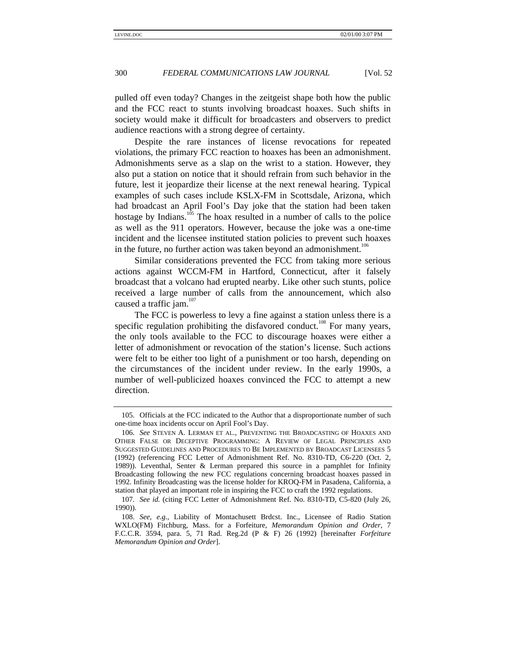pulled off even today? Changes in the zeitgeist shape both how the public and the FCC react to stunts involving broadcast hoaxes. Such shifts in society would make it difficult for broadcasters and observers to predict audience reactions with a strong degree of certainty.

Despite the rare instances of license revocations for repeated violations, the primary FCC reaction to hoaxes has been an admonishment. Admonishments serve as a slap on the wrist to a station. However, they also put a station on notice that it should refrain from such behavior in the future, lest it jeopardize their license at the next renewal hearing. Typical examples of such cases include KSLX-FM in Scottsdale, Arizona, which had broadcast an April Fool's Day joke that the station had been taken hostage by Indians.<sup>105</sup> The hoax resulted in a number of calls to the police as well as the 911 operators. However, because the joke was a one-time incident and the licensee instituted station policies to prevent such hoaxes in the future, no further action was taken beyond an admonishment.<sup>106</sup>

Similar considerations prevented the FCC from taking more serious actions against WCCM-FM in Hartford, Connecticut, after it falsely broadcast that a volcano had erupted nearby. Like other such stunts, police received a large number of calls from the announcement, which also caused a traffic jam. $107$ 

The FCC is powerless to levy a fine against a station unless there is a specific regulation prohibiting the disfavored conduct.<sup>108</sup> For many years, the only tools available to the FCC to discourage hoaxes were either a letter of admonishment or revocation of the station's license. Such actions were felt to be either too light of a punishment or too harsh, depending on the circumstances of the incident under review. In the early 1990s, a number of well-publicized hoaxes convinced the FCC to attempt a new direction.

<sup>105.</sup> Officials at the FCC indicated to the Author that a disproportionate number of such one-time hoax incidents occur on April Fool's Day.

<sup>106.</sup> *See* STEVEN A. LERMAN ET AL., PREVENTING THE BROADCASTING OF HOAXES AND OTHER FALSE OR DECEPTIVE PROGRAMMING: A REVIEW OF LEGAL PRINCIPLES AND SUGGESTED GUIDELINES AND PROCEDURES TO BE IMPLEMENTED BY BROADCAST LICENSEES 5 (1992) (referencing FCC Letter of Admonishment Ref. No. 8310-TD, C6-220 (Oct. 2, 1989)). Leventhal, Senter & Lerman prepared this source in a pamphlet for Infinity Broadcasting following the new FCC regulations concerning broadcast hoaxes passed in 1992. Infinity Broadcasting was the license holder for KROQ-FM in Pasadena, California, a station that played an important role in inspiring the FCC to craft the 1992 regulations.

<sup>107.</sup> *See id.* (citing FCC Letter of Admonishment Ref. No. 8310-TD, C5-820 (July 26, 1990)).

<sup>108.</sup> *See, e.g.*, Liability of Montachusett Brdcst. Inc., Licensee of Radio Station WXLO(FM) Fitchburg, Mass. for a Forfeiture, *Memorandum Opinion and Order*, 7 F.C.C.R. 3594, para. 5, 71 Rad. Reg.2d (P & F) 26 (1992) [hereinafter *Forfeiture Memorandum Opinion and Order*].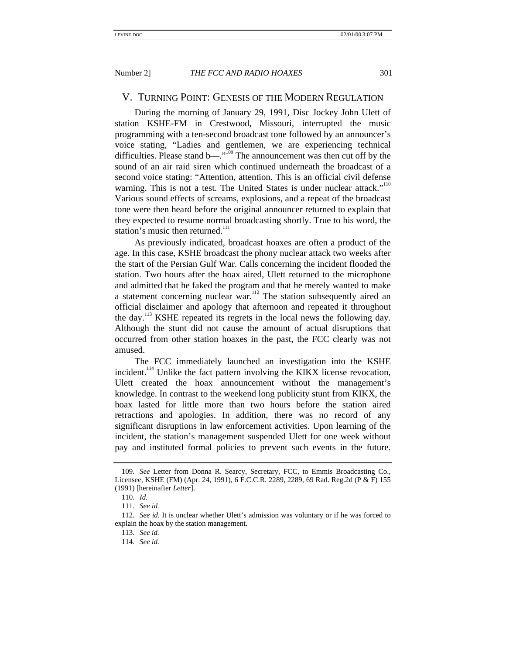# V. TURNING POINT: GENESIS OF THE MODERN REGULATION

During the morning of January 29, 1991, Disc Jockey John Ulett of station KSHE-FM in Crestwood, Missouri, interrupted the music programming with a ten-second broadcast tone followed by an announcer's voice stating, "Ladies and gentlemen, we are experiencing technical difficulties. Please stand b— $\cdot$ <sup>109</sup> The announcement was then cut off by the sound of an air raid siren which continued underneath the broadcast of a second voice stating: "Attention, attention. This is an official civil defense warning. This is not a test. The United States is under nuclear attack."<sup>110</sup> Various sound effects of screams, explosions, and a repeat of the broadcast tone were then heard before the original announcer returned to explain that they expected to resume normal broadcasting shortly. True to his word, the station's music then returned.<sup>111</sup>

As previously indicated, broadcast hoaxes are often a product of the age. In this case, KSHE broadcast the phony nuclear attack two weeks after the start of the Persian Gulf War. Calls concerning the incident flooded the station. Two hours after the hoax aired, Ulett returned to the microphone and admitted that he faked the program and that he merely wanted to make a statement concerning nuclear war.<sup>112</sup> The station subsequently aired an official disclaimer and apology that afternoon and repeated it throughout the day.<sup>113</sup> KSHE repeated its regrets in the local news the following day. Although the stunt did not cause the amount of actual disruptions that occurred from other station hoaxes in the past, the FCC clearly was not amused.

The FCC immediately launched an investigation into the KSHE incident.<sup>114</sup> Unlike the fact pattern involving the KIKX license revocation, Ulett created the hoax announcement without the management's knowledge. In contrast to the weekend long publicity stunt from KIKX, the hoax lasted for little more than two hours before the station aired retractions and apologies. In addition, there was no record of any significant disruptions in law enforcement activities. Upon learning of the incident, the station's management suspended Ulett for one week without pay and instituted formal policies to prevent such events in the future.

<sup>109.</sup> *See* Letter from Donna R. Searcy, Secretary, FCC, to Emmis Broadcasting Co., Licensee, KSHE (FM) (Apr. 24, 1991), 6 F.C.C.R. 2289, 2289, 69 Rad. Reg.2d (P & F) 155 (1991) [hereinafter *Letter*].

<sup>110.</sup> *Id.*

<sup>111.</sup> *See id.*

<sup>112.</sup> *See id.* It is unclear whether Ulett's admission was voluntary or if he was forced to explain the hoax by the station management.

<sup>113.</sup> *See id.*

<sup>114.</sup> *See id.*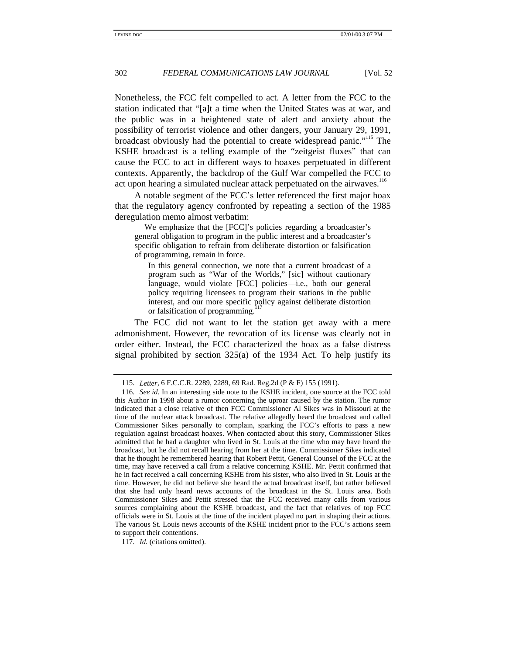Nonetheless, the FCC felt compelled to act. A letter from the FCC to the station indicated that "[a]t a time when the United States was at war, and the public was in a heightened state of alert and anxiety about the possibility of terrorist violence and other dangers, your January 29, 1991, broadcast obviously had the potential to create widespread panic."<sup>115</sup> The KSHE broadcast is a telling example of the "zeitgeist fluxes" that can cause the FCC to act in different ways to hoaxes perpetuated in different contexts. Apparently, the backdrop of the Gulf War compelled the FCC to act upon hearing a simulated nuclear attack perpetuated on the airwaves.<sup>116</sup>

A notable segment of the FCC's letter referenced the first major hoax that the regulatory agency confronted by repeating a section of the 1985 deregulation memo almost verbatim:

We emphasize that the [FCC]'s policies regarding a broadcaster's general obligation to program in the public interest and a broadcaster's specific obligation to refrain from deliberate distortion or falsification of programming, remain in force.

In this general connection, we note that a current broadcast of a program such as "War of the Worlds," [sic] without cautionary language, would violate [FCC] policies—i.e., both our general policy requiring licensees to program their stations in the public interest, and our more specific policy against deliberate distortion or falsification of programming.

The FCC did not want to let the station get away with a mere admonishment. However, the revocation of its license was clearly not in order either. Instead, the FCC characterized the hoax as a false distress signal prohibited by section 325(a) of the 1934 Act. To help justify its

117. *Id.* (citations omitted).

<sup>115.</sup> *Letter*, 6 F.C.C.R. 2289, 2289, 69 Rad. Reg.2d (P & F) 155 (1991).

<sup>116.</sup> *See id.* In an interesting side note to the KSHE incident, one source at the FCC told this Author in 1998 about a rumor concerning the uproar caused by the station. The rumor indicated that a close relative of then FCC Commissioner Al Sikes was in Missouri at the time of the nuclear attack broadcast. The relative allegedly heard the broadcast and called Commissioner Sikes personally to complain, sparking the FCC's efforts to pass a new regulation against broadcast hoaxes. When contacted about this story, Commissioner Sikes admitted that he had a daughter who lived in St. Louis at the time who may have heard the broadcast, but he did not recall hearing from her at the time. Commissioner Sikes indicated that he thought he remembered hearing that Robert Pettit, General Counsel of the FCC at the time, may have received a call from a relative concerning KSHE. Mr. Pettit confirmed that he in fact received a call concerning KSHE from his sister, who also lived in St. Louis at the time. However, he did not believe she heard the actual broadcast itself, but rather believed that she had only heard news accounts of the broadcast in the St. Louis area. Both Commissioner Sikes and Pettit stressed that the FCC received many calls from various sources complaining about the KSHE broadcast, and the fact that relatives of top FCC officials were in St. Louis at the time of the incident played no part in shaping their actions. The various St. Louis news accounts of the KSHE incident prior to the FCC's actions seem to support their contentions.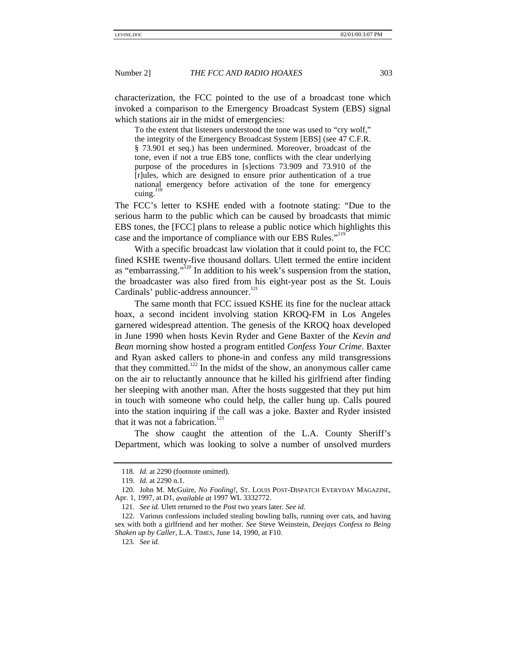characterization, the FCC pointed to the use of a broadcast tone which invoked a comparison to the Emergency Broadcast System (EBS) signal which stations air in the midst of emergencies:

To the extent that listeners understood the tone was used to "cry wolf," the integrity of the Emergency Broadcast System [EBS] (see 47 C.F.R. § 73.901 et seq.) has been undermined. Moreover, broadcast of the tone, even if not a true EBS tone, conflicts with the clear underlying purpose of the procedures in [s]ections 73.909 and 73.910 of the [r]ules, which are designed to ensure prior authentication of a true national emergency before activation of the tone for emergency cuing.

The FCC's letter to KSHE ended with a footnote stating: "Due to the serious harm to the public which can be caused by broadcasts that mimic EBS tones, the [FCC] plans to release a public notice which highlights this case and the importance of compliance with our EBS Rules."<sup>119</sup>

With a specific broadcast law violation that it could point to, the FCC fined KSHE twenty-five thousand dollars. Ulett termed the entire incident as "embarrassing."<sup>120</sup> In addition to his week's suspension from the station, the broadcaster was also fired from his eight-year post as the St. Louis Cardinals' public-address announcer.<sup>121</sup>

The same month that FCC issued KSHE its fine for the nuclear attack hoax, a second incident involving station KROQ-FM in Los Angeles garnered widespread attention. The genesis of the KROQ hoax developed in June 1990 when hosts Kevin Ryder and Gene Baxter of the *Kevin and Bean* morning show hosted a program entitled *Confess Your Crime*. Baxter and Ryan asked callers to phone-in and confess any mild transgressions that they committed.<sup>122</sup> In the midst of the show, an anonymous caller came on the air to reluctantly announce that he killed his girlfriend after finding her sleeping with another man. After the hosts suggested that they put him in touch with someone who could help, the caller hung up. Calls poured into the station inquiring if the call was a joke. Baxter and Ryder insisted that it was not a fabrication.<sup>123</sup>

The show caught the attention of the L.A. County Sheriff's Department, which was looking to solve a number of unsolved murders

<sup>118.</sup> *Id.* at 2290 (footnote omitted).

<sup>119.</sup> *Id.* at 2290 n.1.

<sup>120.</sup> John M. McGuire, *No Fooling!*, ST. LOUIS POST-DISPATCH EVERYDAY MAGAZINE, Apr. 1, 1997, at D1, *available at* 1997 WL 3332772.

<sup>121.</sup> *See id.* Ulett returned to the *Post* two years later. *See id.*

<sup>122.</sup> Various confessions included stealing bowling balls, running over cats, and having sex with both a girlfriend and her mother. *See* Steve Weinstein, *Deejays Confess to Being Shaken up by Caller*, L.A. TIMES, June 14, 1990, at F10.

<sup>123.</sup> *See id.*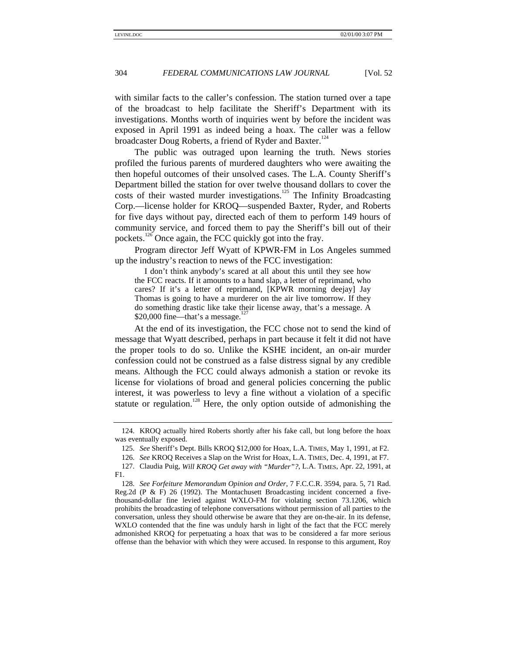with similar facts to the caller's confession. The station turned over a tape of the broadcast to help facilitate the Sheriff's Department with its investigations. Months worth of inquiries went by before the incident was exposed in April 1991 as indeed being a hoax. The caller was a fellow broadcaster Doug Roberts, a friend of Ryder and Baxter.<sup>124</sup>

The public was outraged upon learning the truth. News stories profiled the furious parents of murdered daughters who were awaiting the then hopeful outcomes of their unsolved cases. The L.A. County Sheriff's Department billed the station for over twelve thousand dollars to cover the costs of their wasted murder investigations.<sup>125</sup> The Infinity Broadcasting Corp.—license holder for KROQ—suspended Baxter, Ryder, and Roberts for five days without pay, directed each of them to perform 149 hours of community service, and forced them to pay the Sheriff's bill out of their pockets.<sup>126</sup> Once again, the FCC quickly got into the fray.

Program director Jeff Wyatt of KPWR-FM in Los Angeles summed up the industry's reaction to news of the FCC investigation:

I don't think anybody's scared at all about this until they see how the FCC reacts. If it amounts to a hand slap, a letter of reprimand, who cares? If it's a letter of reprimand, [KPWR morning deejay] Jay Thomas is going to have a murderer on the air live tomorrow. If they do something drastic like take their license away, that's a message. A \$20,000 fine—that's a message.

At the end of its investigation, the FCC chose not to send the kind of message that Wyatt described, perhaps in part because it felt it did not have the proper tools to do so. Unlike the KSHE incident, an on-air murder confession could not be construed as a false distress signal by any credible means. Although the FCC could always admonish a station or revoke its license for violations of broad and general policies concerning the public interest, it was powerless to levy a fine without a violation of a specific statute or regulation.<sup>128</sup> Here, the only option outside of admonishing the

<sup>124.</sup> KROQ actually hired Roberts shortly after his fake call, but long before the hoax was eventually exposed.

<sup>125.</sup> *See* Sheriff's Dept. Bills KROQ \$12,000 for Hoax, L.A. TIMES, May 1, 1991, at F2.

<sup>126.</sup> *See* KROQ Receives a Slap on the Wrist for Hoax, L.A. TIMES, Dec. 4, 1991, at F7.

<sup>127.</sup> Claudia Puig, *Will KROQ Get away with "Murder"?*, L.A. TIMES, Apr. 22, 1991, at F1.

<sup>128.</sup> *See Forfeiture Memorandum Opinion and Order*, 7 F.C.C.R. 3594, para. 5, 71 Rad. Reg.2d (P  $\&$  F) 26 (1992). The Montachusett Broadcasting incident concerned a fivethousand-dollar fine levied against WXLO-FM for violating section 73.1206, which prohibits the broadcasting of telephone conversations without permission of all parties to the conversation, unless they should otherwise be aware that they are on-the-air. In its defense, WXLO contended that the fine was unduly harsh in light of the fact that the FCC merely admonished KROQ for perpetuating a hoax that was to be considered a far more serious offense than the behavior with which they were accused. In response to this argument, Roy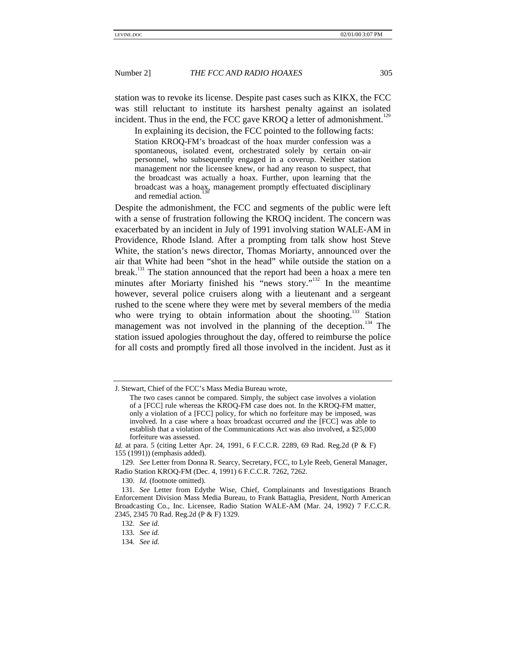station was to revoke its license. Despite past cases such as KIKX, the FCC was still reluctant to institute its harshest penalty against an isolated incident. Thus in the end, the FCC gave KROQ a letter of admonishment.<sup>129</sup>

In explaining its decision, the FCC pointed to the following facts: Station KROQ-FM's broadcast of the hoax murder confession was a spontaneous, isolated event, orchestrated solely by certain on-air personnel, who subsequently engaged in a coverup. Neither station management nor the licensee knew, or had any reason to suspect, that the broadcast was actually a hoax. Further, upon learning that the broadcast was a hoax, management promptly effectuated disciplinary and remedial action.

Despite the admonishment, the FCC and segments of the public were left with a sense of frustration following the KROQ incident. The concern was exacerbated by an incident in July of 1991 involving station WALE-AM in Providence, Rhode Island. After a prompting from talk show host Steve White, the station's news director, Thomas Moriarty, announced over the air that White had been "shot in the head" while outside the station on a break.<sup>131</sup> The station announced that the report had been a hoax a mere ten minutes after Moriarty finished his "news story."<sup>132</sup> In the meantime however, several police cruisers along with a lieutenant and a sergeant rushed to the scene where they were met by several members of the media who were trying to obtain information about the shooting.<sup>133</sup> Station management was not involved in the planning of the deception.<sup>134</sup> The station issued apologies throughout the day, offered to reimburse the police for all costs and promptly fired all those involved in the incident. Just as it

130. *Id.* (footnote omitted).

J. Stewart, Chief of the FCC's Mass Media Bureau wrote,

The two cases cannot be compared. Simply, the subject case involves a violation of a [FCC] rule whereas the KROQ-FM case does not. In the KROQ-FM matter, only a violation of a [FCC] policy, for which no forfeiture may be imposed, was involved. In a case where a hoax broadcast occurred *and* the [FCC] was able to establish that a violation of the Communications Act was also involved, a \$25,000 forfeiture was assessed.

*Id.* at para. 5 (citing Letter Apr. 24, 1991, 6 F.C.C.R. 2289, 69 Rad. Reg.2d (P & F) 155 (1991)) (emphasis added).

<sup>129.</sup> *See* Letter from Donna R. Searcy, Secretary, FCC, to Lyle Reeb, General Manager, Radio Station KROQ-FM (Dec. 4, 1991) 6 F.C.C.R. 7262, 7262.

<sup>131.</sup> *See* Letter from Edythe Wise, Chief, Complainants and Investigations Branch Enforcement Division Mass Media Bureau, to Frank Battaglia, President, North American Broadcasting Co., Inc. Licensee, Radio Station WALE-AM (Mar. 24, 1992) 7 F.C.C.R. 2345, 2345 70 Rad. Reg.2d (P & F) 1329.

<sup>132.</sup> *See id.*

<sup>133.</sup> *See id.*

<sup>134.</sup> *See id.*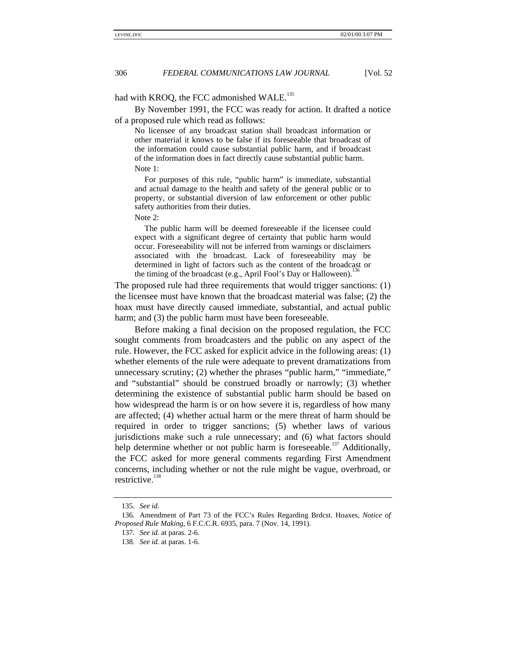# had with KROQ, the FCC admonished WALE.<sup>135</sup>

By November 1991, the FCC was ready for action. It drafted a notice of a proposed rule which read as follows:

No licensee of any broadcast station shall broadcast information or other material it knows to be false if its foreseeable that broadcast of the information could cause substantial public harm, and if broadcast of the information does in fact directly cause substantial public harm. Note 1:

For purposes of this rule, "public harm" is immediate, substantial and actual damage to the health and safety of the general public or to property, or substantial diversion of law enforcement or other public safety authorities from their duties.

Note 2:

The public harm will be deemed foreseeable if the licensee could expect with a significant degree of certainty that public harm would occur. Foreseeability will not be inferred from warnings or disclaimers associated with the broadcast. Lack of foreseeability may be determined in light of factors such as the content of the broadcast or the timing of the broadcast (e.g., April Fool's Day or Halloween).

The proposed rule had three requirements that would trigger sanctions: (1) the licensee must have known that the broadcast material was false; (2) the hoax must have directly caused immediate, substantial, and actual public harm; and (3) the public harm must have been foreseeable.

Before making a final decision on the proposed regulation, the FCC sought comments from broadcasters and the public on any aspect of the rule. However, the FCC asked for explicit advice in the following areas: (1) whether elements of the rule were adequate to prevent dramatizations from unnecessary scrutiny; (2) whether the phrases "public harm," "immediate," and "substantial" should be construed broadly or narrowly; (3) whether determining the existence of substantial public harm should be based on how widespread the harm is or on how severe it is, regardless of how many are affected; (4) whether actual harm or the mere threat of harm should be required in order to trigger sanctions; (5) whether laws of various jurisdictions make such a rule unnecessary; and (6) what factors should help determine whether or not public harm is foreseeable.<sup>137</sup> Additionally, the FCC asked for more general comments regarding First Amendment concerns, including whether or not the rule might be vague, overbroad, or restrictive. $138$ 

<sup>135.</sup> *See id.*

<sup>136.</sup> Amendment of Part 73 of the FCC's Rules Regarding Brdcst. Hoaxes, *Notice of Proposed Rule Making*, 6 F.C.C.R. 6935, para. 7 (Nov. 14, 1991).

<sup>137.</sup> *See id.* at paras. 2-6.

<sup>138.</sup> *See id.* at paras. 1-6.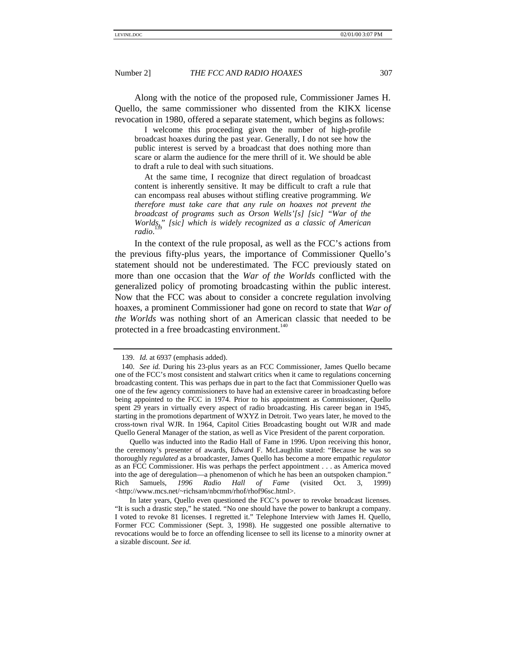Along with the notice of the proposed rule, Commissioner James H. Quello, the same commissioner who dissented from the KIKX license revocation in 1980, offered a separate statement, which begins as follows:

I welcome this proceeding given the number of high-profile broadcast hoaxes during the past year. Generally, I do not see how the public interest is served by a broadcast that does nothing more than scare or alarm the audience for the mere thrill of it. We should be able to draft a rule to deal with such situations.

At the same time, I recognize that direct regulation of broadcast content is inherently sensitive. It may be difficult to craft a rule that can encompass real abuses without stifling creative programming. *We therefore must take care that any rule on hoaxes not prevent the broadcast of programs such as Orson Wells'[s] [sic] "War of the* Worlds," [sic] which is widely recognized as a classic of American *radio*.

In the context of the rule proposal, as well as the FCC's actions from the previous fifty-plus years, the importance of Commissioner Quello's statement should not be underestimated. The FCC previously stated on more than one occasion that the *War of the Worlds* conflicted with the generalized policy of promoting broadcasting within the public interest. Now that the FCC was about to consider a concrete regulation involving hoaxes, a prominent Commissioner had gone on record to state that *War of the Worlds* was nothing short of an American classic that needed to be protected in a free broadcasting environment.<sup>140</sup>

<sup>139.</sup> *Id.* at 6937 (emphasis added).

<sup>140.</sup> *See id.* During his 23-plus years as an FCC Commissioner, James Quello became one of the FCC's most consistent and stalwart critics when it came to regulations concerning broadcasting content. This was perhaps due in part to the fact that Commissioner Quello was one of the few agency commissioners to have had an extensive career in broadcasting before being appointed to the FCC in 1974. Prior to his appointment as Commissioner, Quello spent 29 years in virtually every aspect of radio broadcasting. His career began in 1945, starting in the promotions department of WXYZ in Detroit. Two years later, he moved to the cross-town rival WJR. In 1964, Capitol Cities Broadcasting bought out WJR and made Quello General Manager of the station, as well as Vice President of the parent corporation.

Quello was inducted into the Radio Hall of Fame in 1996. Upon receiving this honor, the ceremony's presenter of awards, Edward F. McLaughlin stated: "Because he was so thoroughly *regulated* as a broadcaster, James Quello has become a more empathic *regulator* as an FCC Commissioner. His was perhaps the perfect appointment . . . as America moved into the age of deregulation—a phenomenon of which he has been an outspoken champion." Rich Samuels, *1996 Radio Hall of Fame* (visited Oct. 3, 1999) <http://www.mcs.net/~richsam/nbcmm/rhof/rhof96sc.html>.

In later years, Quello even questioned the FCC's power to revoke broadcast licenses. "It is such a drastic step," he stated. "No one should have the power to bankrupt a company. I voted to revoke 81 licenses. I regretted it." Telephone Interview with James H. Quello, Former FCC Commissioner (Sept. 3, 1998). He suggested one possible alternative to revocations would be to force an offending licensee to sell its license to a minority owner at a sizable discount. *See id.*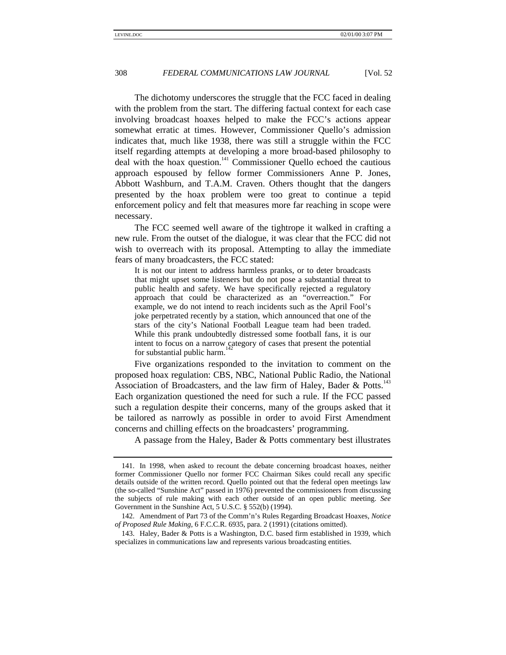The dichotomy underscores the struggle that the FCC faced in dealing with the problem from the start. The differing factual context for each case involving broadcast hoaxes helped to make the FCC's actions appear somewhat erratic at times. However, Commissioner Quello's admission indicates that, much like 1938, there was still a struggle within the FCC itself regarding attempts at developing a more broad-based philosophy to deal with the hoax question.<sup>141</sup> Commissioner Quello echoed the cautious approach espoused by fellow former Commissioners Anne P. Jones, Abbott Washburn, and T.A.M. Craven. Others thought that the dangers presented by the hoax problem were too great to continue a tepid enforcement policy and felt that measures more far reaching in scope were necessary.

The FCC seemed well aware of the tightrope it walked in crafting a new rule. From the outset of the dialogue, it was clear that the FCC did not wish to overreach with its proposal. Attempting to allay the immediate fears of many broadcasters, the FCC stated:

It is not our intent to address harmless pranks, or to deter broadcasts that might upset some listeners but do not pose a substantial threat to public health and safety. We have specifically rejected a regulatory approach that could be characterized as an "overreaction." For example, we do not intend to reach incidents such as the April Fool's joke perpetrated recently by a station, which announced that one of the stars of the city's National Football League team had been traded. While this prank undoubtedly distressed some football fans, it is our intent to focus on a narrow category of cases that present the potential for substantial public harm.

Five organizations responded to the invitation to comment on the proposed hoax regulation: CBS, NBC, National Public Radio, the National Association of Broadcasters, and the law firm of Haley, Bader & Potts.<sup>143</sup> Each organization questioned the need for such a rule. If the FCC passed such a regulation despite their concerns, many of the groups asked that it be tailored as narrowly as possible in order to avoid First Amendment concerns and chilling effects on the broadcasters' programming.

A passage from the Haley, Bader & Potts commentary best illustrates

143. Haley, Bader & Potts is a Washington, D.C. based firm established in 1939, which specializes in communications law and represents various broadcasting entities.

<sup>141.</sup> In 1998, when asked to recount the debate concerning broadcast hoaxes, neither former Commissioner Quello nor former FCC Chairman Sikes could recall any specific details outside of the written record. Quello pointed out that the federal open meetings law (the so-called "Sunshine Act" passed in 1976) prevented the commissioners from discussing the subjects of rule making with each other outside of an open public meeting. *See* Government in the Sunshine Act, 5 U.S.C. § 552(b) (1994).

<sup>142.</sup> Amendment of Part 73 of the Comm'n's Rules Regarding Broadcast Hoaxes*, Notice of Proposed Rule Making*, 6 F.C.C.R. 6935, para. 2 (1991) (citations omitted).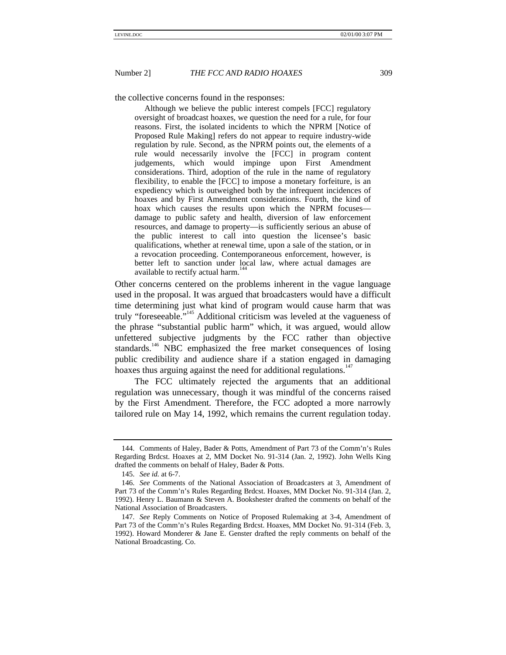the collective concerns found in the responses:

Although we believe the public interest compels [FCC] regulatory oversight of broadcast hoaxes, we question the need for a rule, for four reasons. First, the isolated incidents to which the NPRM [Notice of Proposed Rule Making] refers do not appear to require industry-wide regulation by rule. Second, as the NPRM points out, the elements of a rule would necessarily involve the [FCC] in program content judgements, which would impinge upon First Amendment considerations. Third, adoption of the rule in the name of regulatory flexibility, to enable the [FCC] to impose a monetary forfeiture, is an expediency which is outweighed both by the infrequent incidences of hoaxes and by First Amendment considerations. Fourth, the kind of hoax which causes the results upon which the NPRM focuses damage to public safety and health, diversion of law enforcement resources, and damage to property—is sufficiently serious an abuse of the public interest to call into question the licensee's basic qualifications, whether at renewal time, upon a sale of the station, or in a revocation proceeding. Contemporaneous enforcement, however, is better left to sanction under local law, where actual damages are available to rectify actual harm.

Other concerns centered on the problems inherent in the vague language used in the proposal. It was argued that broadcasters would have a difficult time determining just what kind of program would cause harm that was truly "foreseeable."<sup>145</sup> Additional criticism was leveled at the vagueness of the phrase "substantial public harm" which, it was argued, would allow unfettered subjective judgments by the FCC rather than objective standards.<sup>146</sup> NBC emphasized the free market consequences of losing public credibility and audience share if a station engaged in damaging hoaxes thus arguing against the need for additional regulations.<sup>147</sup>

The FCC ultimately rejected the arguments that an additional regulation was unnecessary, though it was mindful of the concerns raised by the First Amendment. Therefore, the FCC adopted a more narrowly tailored rule on May 14, 1992, which remains the current regulation today.

<sup>144.</sup> Comments of Haley, Bader & Potts, Amendment of Part 73 of the Comm'n's Rules Regarding Brdcst. Hoaxes at 2, MM Docket No. 91-314 (Jan. 2, 1992). John Wells King drafted the comments on behalf of Haley, Bader & Potts.

<sup>145.</sup> *See id.* at 6-7.

<sup>146.</sup> *See* Comments of the National Association of Broadcasters at 3, Amendment of Part 73 of the Comm'n's Rules Regarding Brdcst. Hoaxes, MM Docket No. 91-314 (Jan. 2, 1992). Henry L. Baumann & Steven A. Bookshester drafted the comments on behalf of the National Association of Broadcasters.

<sup>147.</sup> *See* Reply Comments on Notice of Proposed Rulemaking at 3-4, Amendment of Part 73 of the Comm'n's Rules Regarding Brdcst. Hoaxes, MM Docket No. 91-314 (Feb. 3, 1992). Howard Monderer & Jane E. Genster drafted the reply comments on behalf of the National Broadcasting. Co.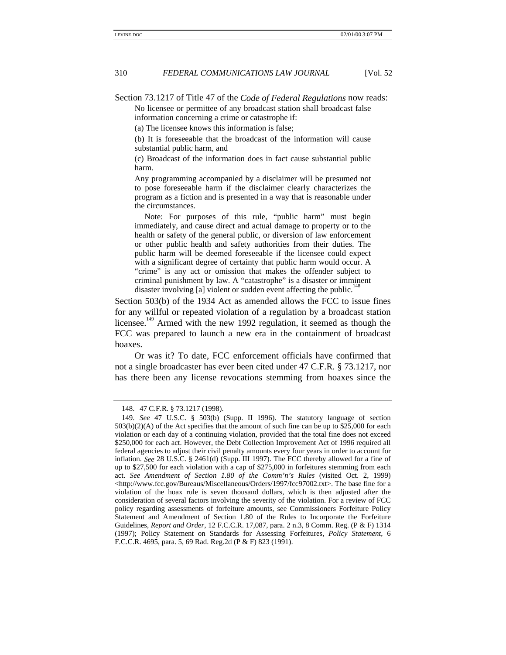Section 73.1217 of Title 47 of the *Code of Federal Regulations* now reads: No licensee or permittee of any broadcast station shall broadcast false information concerning a crime or catastrophe if:

(a) The licensee knows this information is false;

(b) It is foreseeable that the broadcast of the information will cause substantial public harm, and

(c) Broadcast of the information does in fact cause substantial public harm.

Any programming accompanied by a disclaimer will be presumed not to pose foreseeable harm if the disclaimer clearly characterizes the program as a fiction and is presented in a way that is reasonable under the circumstances.

Note: For purposes of this rule, "public harm" must begin immediately, and cause direct and actual damage to property or to the health or safety of the general public, or diversion of law enforcement or other public health and safety authorities from their duties. The public harm will be deemed foreseeable if the licensee could expect with a significant degree of certainty that public harm would occur. A "crime" is any act or omission that makes the offender subject to criminal punishment by law. A "catastrophe" is a disaster or imminent disaster involving [a] violent or sudden event affecting the public.<sup>1</sup>

Section 503(b) of the 1934 Act as amended allows the FCC to issue fines for any willful or repeated violation of a regulation by a broadcast station licensee.<sup>149</sup> Armed with the new 1992 regulation, it seemed as though the FCC was prepared to launch a new era in the containment of broadcast hoaxes.

Or was it? To date, FCC enforcement officials have confirmed that not a single broadcaster has ever been cited under 47 C.F.R. § 73.1217, nor has there been any license revocations stemming from hoaxes since the

<sup>148. 47</sup> C.F.R. § 73.1217 (1998).

<sup>149.</sup> *See* 47 U.S.C. § 503(b) (Supp. II 1996). The statutory language of section  $503(b)(2)(A)$  of the Act specifies that the amount of such fine can be up to \$25,000 for each violation or each day of a continuing violation, provided that the total fine does not exceed \$250,000 for each act. However, the Debt Collection Improvement Act of 1996 required all federal agencies to adjust their civil penalty amounts every four years in order to account for inflation. *See* 28 U.S.C. § 2461(d) (Supp. III 1997). The FCC thereby allowed for a fine of up to \$27,500 for each violation with a cap of \$275,000 in forfeitures stemming from each act. *See Amendment of Section 1.80 of the Comm'n's Rules* (visited Oct. 2, 1999) <http://www.fcc.gov/Bureaus/Miscellaneous/Orders/1997/fcc97002.txt>. The base fine for a violation of the hoax rule is seven thousand dollars, which is then adjusted after the consideration of several factors involving the severity of the violation. For a review of FCC policy regarding assessments of forfeiture amounts, see Commissioners Forfeiture Policy Statement and Amendment of Section 1.80 of the Rules to Incorporate the Forfeiture Guidelines, *Report and Order*, 12 F.C.C.R. 17,087, para. 2 n.3, 8 Comm. Reg. (P & F) 1314 (1997); Policy Statement on Standards for Assessing Forfeitures, *Policy Statement*, 6 F.C.C.R. 4695, para. 5, 69 Rad. Reg.2d (P & F) 823 (1991).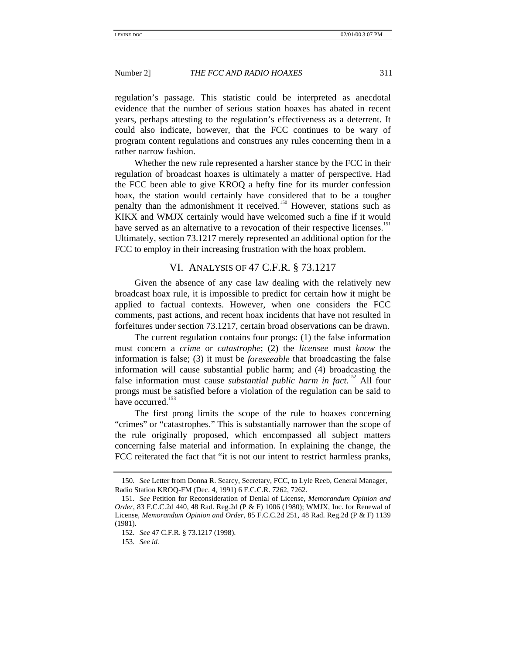regulation's passage. This statistic could be interpreted as anecdotal evidence that the number of serious station hoaxes has abated in recent years, perhaps attesting to the regulation's effectiveness as a deterrent. It could also indicate, however, that the FCC continues to be wary of program content regulations and construes any rules concerning them in a rather narrow fashion.

Whether the new rule represented a harsher stance by the FCC in their regulation of broadcast hoaxes is ultimately a matter of perspective. Had the FCC been able to give KROQ a hefty fine for its murder confession hoax, the station would certainly have considered that to be a tougher penalty than the admonishment it received.<sup>150</sup> However, stations such as KIKX and WMJX certainly would have welcomed such a fine if it would have served as an alternative to a revocation of their respective licenses.<sup>151</sup> Ultimately, section 73.1217 merely represented an additional option for the FCC to employ in their increasing frustration with the hoax problem.

# VI. ANALYSIS OF 47 C.F.R. § 73.1217

Given the absence of any case law dealing with the relatively new broadcast hoax rule, it is impossible to predict for certain how it might be applied to factual contexts. However, when one considers the FCC comments, past actions, and recent hoax incidents that have not resulted in forfeitures under section 73.1217, certain broad observations can be drawn.

The current regulation contains four prongs: (1) the false information must concern a *crime* or *catastrophe*; (2) the *licensee* must *know* the information is false; (3) it must be *foreseeable* that broadcasting the false information will cause substantial public harm; and (4) broadcasting the false information must cause *substantial public harm in fact*. 152 All four prongs must be satisfied before a violation of the regulation can be said to have occurred. $153$ 

The first prong limits the scope of the rule to hoaxes concerning "crimes" or "catastrophes." This is substantially narrower than the scope of the rule originally proposed, which encompassed all subject matters concerning false material and information. In explaining the change, the FCC reiterated the fact that "it is not our intent to restrict harmless pranks,

<sup>150.</sup> *See* Letter from Donna R. Searcy, Secretary, FCC, to Lyle Reeb, General Manager, Radio Station KROQ-FM (Dec. 4, 1991) 6 F.C.C.R. 7262, 7262.

<sup>151.</sup> *See* Petition for Reconsideration of Denial of License, *Memorandum Opinion and Order*, 83 F.C.C.2d 440, 48 Rad. Reg.2d (P & F) 1006 (1980); WMJX, Inc. for Renewal of License, *Memorandum Opinion and Order*, 85 F.C.C.2d 251, 48 Rad. Reg.2d (P & F) 1139 (1981).

<sup>152.</sup> *See* 47 C.F.R. § 73.1217 (1998).

<sup>153.</sup> *See id.*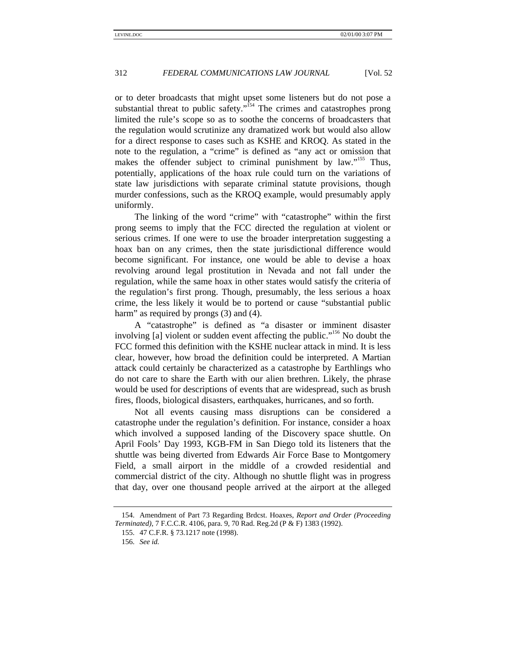or to deter broadcasts that might upset some listeners but do not pose a substantial threat to public safety."<sup>154</sup> The crimes and catastrophes prong limited the rule's scope so as to soothe the concerns of broadcasters that the regulation would scrutinize any dramatized work but would also allow for a direct response to cases such as KSHE and KROQ. As stated in the note to the regulation, a "crime" is defined as "any act or omission that makes the offender subject to criminal punishment by law."<sup>155</sup> Thus, potentially, applications of the hoax rule could turn on the variations of state law jurisdictions with separate criminal statute provisions, though murder confessions, such as the KROQ example, would presumably apply uniformly.

The linking of the word "crime" with "catastrophe" within the first prong seems to imply that the FCC directed the regulation at violent or serious crimes. If one were to use the broader interpretation suggesting a hoax ban on any crimes, then the state jurisdictional difference would become significant. For instance, one would be able to devise a hoax revolving around legal prostitution in Nevada and not fall under the regulation, while the same hoax in other states would satisfy the criteria of the regulation's first prong. Though, presumably, the less serious a hoax crime, the less likely it would be to portend or cause "substantial public harm" as required by prongs (3) and (4).

A "catastrophe" is defined as "a disaster or imminent disaster involving [a] violent or sudden event affecting the public."<sup>156</sup> No doubt the FCC formed this definition with the KSHE nuclear attack in mind. It is less clear, however, how broad the definition could be interpreted. A Martian attack could certainly be characterized as a catastrophe by Earthlings who do not care to share the Earth with our alien brethren. Likely, the phrase would be used for descriptions of events that are widespread, such as brush fires, floods, biological disasters, earthquakes, hurricanes, and so forth.

Not all events causing mass disruptions can be considered a catastrophe under the regulation's definition. For instance, consider a hoax which involved a supposed landing of the Discovery space shuttle. On April Fools' Day 1993, KGB-FM in San Diego told its listeners that the shuttle was being diverted from Edwards Air Force Base to Montgomery Field, a small airport in the middle of a crowded residential and commercial district of the city. Although no shuttle flight was in progress that day, over one thousand people arrived at the airport at the alleged

<sup>154.</sup> Amendment of Part 73 Regarding Brdcst. Hoaxes, *Report and Order (Proceeding Terminated)*, 7 F.C.C.R. 4106, para. 9, 70 Rad. Reg.2d (P & F) 1383 (1992).

<sup>155. 47</sup> C.F.R. § 73.1217 note (1998).

<sup>156.</sup> *See id.*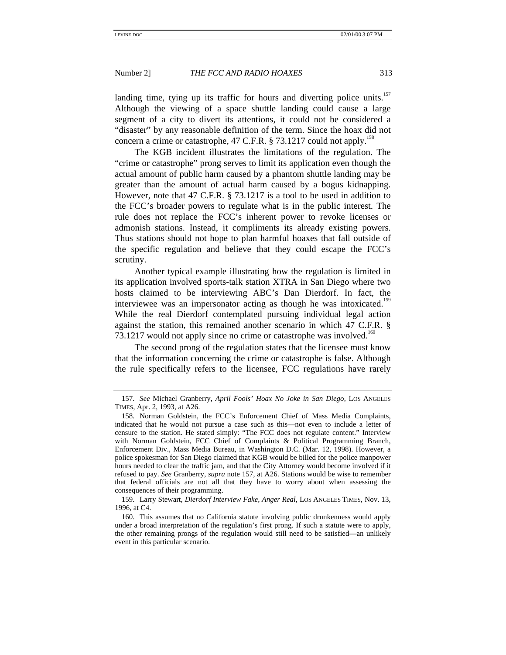landing time, tying up its traffic for hours and diverting police units.<sup>157</sup> Although the viewing of a space shuttle landing could cause a large segment of a city to divert its attentions, it could not be considered a "disaster" by any reasonable definition of the term. Since the hoax did not concern a crime or catastrophe, 47 C.F.R.  $\S$  73.1217 could not apply.<sup>158</sup>

The KGB incident illustrates the limitations of the regulation. The "crime or catastrophe" prong serves to limit its application even though the actual amount of public harm caused by a phantom shuttle landing may be greater than the amount of actual harm caused by a bogus kidnapping. However, note that 47 C.F.R. § 73.1217 is a tool to be used in addition to the FCC's broader powers to regulate what is in the public interest. The rule does not replace the FCC's inherent power to revoke licenses or admonish stations. Instead, it compliments its already existing powers. Thus stations should not hope to plan harmful hoaxes that fall outside of the specific regulation and believe that they could escape the FCC's scrutiny.

Another typical example illustrating how the regulation is limited in its application involved sports-talk station XTRA in San Diego where two hosts claimed to be interviewing ABC's Dan Dierdorf. In fact, the interviewee was an impersonator acting as though he was intoxicated.<sup>159</sup> While the real Dierdorf contemplated pursuing individual legal action against the station, this remained another scenario in which 47 C.F.R. § 73.1217 would not apply since no crime or catastrophe was involved.<sup>160</sup>

The second prong of the regulation states that the licensee must know that the information concerning the crime or catastrophe is false. Although the rule specifically refers to the licensee, FCC regulations have rarely

<sup>157.</sup> *See* Michael Granberry, *April Fools' Hoax No Joke in San Diego*, LOS ANGELES TIMES, Apr. 2, 1993, at A26.

<sup>158.</sup> Norman Goldstein, the FCC's Enforcement Chief of Mass Media Complaints, indicated that he would not pursue a case such as this—not even to include a letter of censure to the station. He stated simply: "The FCC does not regulate content." Interview with Norman Goldstein, FCC Chief of Complaints & Political Programming Branch, Enforcement Div., Mass Media Bureau, in Washington D.C. (Mar. 12, 1998). However, a police spokesman for San Diego claimed that KGB would be billed for the police manpower hours needed to clear the traffic jam, and that the City Attorney would become involved if it refused to pay. *See* Granberry, *supra* note 157, at A26. Stations would be wise to remember that federal officials are not all that they have to worry about when assessing the consequences of their programming.

<sup>159.</sup> Larry Stewart, *Dierdorf Interview Fake, Anger Real*, LOS ANGELES TIMES, Nov. 13, 1996, at C4.

<sup>160.</sup> This assumes that no California statute involving public drunkenness would apply under a broad interpretation of the regulation's first prong. If such a statute were to apply, the other remaining prongs of the regulation would still need to be satisfied—an unlikely event in this particular scenario.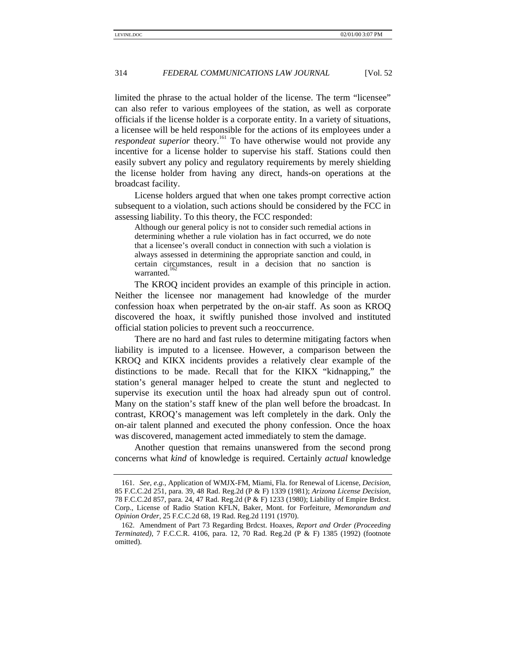limited the phrase to the actual holder of the license. The term "licensee" can also refer to various employees of the station, as well as corporate officials if the license holder is a corporate entity. In a variety of situations, a licensee will be held responsible for the actions of its employees under a *respondeat superior* theory.<sup>161</sup> To have otherwise would not provide any incentive for a license holder to supervise his staff. Stations could then easily subvert any policy and regulatory requirements by merely shielding the license holder from having any direct, hands-on operations at the broadcast facility.

License holders argued that when one takes prompt corrective action subsequent to a violation, such actions should be considered by the FCC in assessing liability. To this theory, the FCC responded:

Although our general policy is not to consider such remedial actions in determining whether a rule violation has in fact occurred, we do note that a licensee's overall conduct in connection with such a violation is always assessed in determining the appropriate sanction and could, in certain circumstances, result in a decision that no sanction is warranted.

The KROQ incident provides an example of this principle in action. Neither the licensee nor management had knowledge of the murder confession hoax when perpetrated by the on-air staff. As soon as KROQ discovered the hoax, it swiftly punished those involved and instituted official station policies to prevent such a reoccurrence.

There are no hard and fast rules to determine mitigating factors when liability is imputed to a licensee. However, a comparison between the KROQ and KIKX incidents provides a relatively clear example of the distinctions to be made. Recall that for the KIKX "kidnapping," the station's general manager helped to create the stunt and neglected to supervise its execution until the hoax had already spun out of control. Many on the station's staff knew of the plan well before the broadcast. In contrast, KROQ's management was left completely in the dark. Only the on-air talent planned and executed the phony confession. Once the hoax was discovered, management acted immediately to stem the damage.

Another question that remains unanswered from the second prong concerns what *kind* of knowledge is required. Certainly *actual* knowledge

<sup>161.</sup> *See, e.g.*, Application of WMJX-FM, Miami, Fla. for Renewal of License, *Decision*, 85 F.C.C.2d 251, para. 39, 48 Rad. Reg.2d (P & F) 1339 (1981); *Arizona License Decision*, 78 F.C.C.2d 857, para. 24, 47 Rad. Reg.2d (P & F) 1233 (1980); Liability of Empire Brdcst. Corp., License of Radio Station KFLN, Baker, Mont. for Forfeiture, *Memorandum and Opinion Order*, 25 F.C.C.2d 68, 19 Rad. Reg.2d 1191 (1970).

<sup>162.</sup> Amendment of Part 73 Regarding Brdcst. Hoaxes, *Report and Order (Proceeding Terminated)*, 7 F.C.C.R. 4106, para. 12, 70 Rad. Reg.2d (P & F) 1385 (1992) (footnote omitted).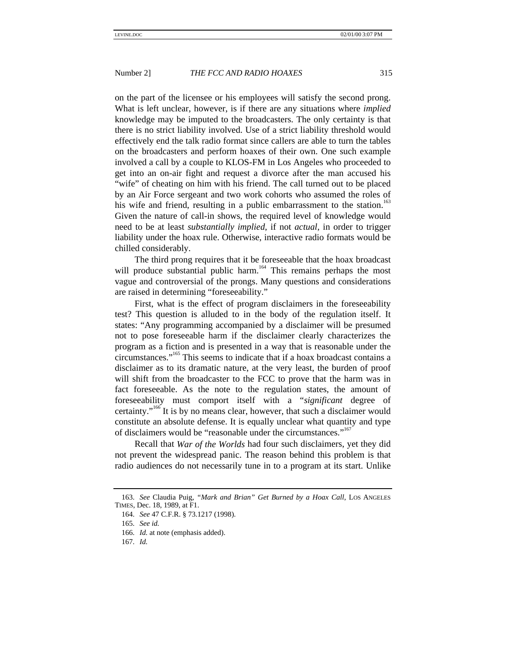on the part of the licensee or his employees will satisfy the second prong. What is left unclear, however, is if there are any situations where *implied* knowledge may be imputed to the broadcasters. The only certainty is that there is no strict liability involved. Use of a strict liability threshold would effectively end the talk radio format since callers are able to turn the tables on the broadcasters and perform hoaxes of their own. One such example involved a call by a couple to KLOS-FM in Los Angeles who proceeded to get into an on-air fight and request a divorce after the man accused his "wife" of cheating on him with his friend. The call turned out to be placed by an Air Force sergeant and two work cohorts who assumed the roles of his wife and friend, resulting in a public embarrassment to the station.<sup>163</sup> Given the nature of call-in shows, the required level of knowledge would need to be at least *substantially implied*, if not *actual*, in order to trigger liability under the hoax rule. Otherwise, interactive radio formats would be chilled considerably.

The third prong requires that it be foreseeable that the hoax broadcast will produce substantial public harm.<sup>164</sup> This remains perhaps the most vague and controversial of the prongs. Many questions and considerations are raised in determining "foreseeability."

First, what is the effect of program disclaimers in the foreseeability test? This question is alluded to in the body of the regulation itself. It states: "Any programming accompanied by a disclaimer will be presumed not to pose foreseeable harm if the disclaimer clearly characterizes the program as a fiction and is presented in a way that is reasonable under the circumstances." 165 This seems to indicate that if a hoax broadcast contains a disclaimer as to its dramatic nature, at the very least, the burden of proof will shift from the broadcaster to the FCC to prove that the harm was in fact foreseeable. As the note to the regulation states, the amount of foreseeability must comport itself with a "*significant* degree of certainty."<sup>166</sup> It is by no means clear, however, that such a disclaimer would constitute an absolute defense. It is equally unclear what quantity and type of disclaimers would be "reasonable under the circumstances."<sup>167</sup>

Recall that *War of the Worlds* had four such disclaimers, yet they did not prevent the widespread panic. The reason behind this problem is that radio audiences do not necessarily tune in to a program at its start. Unlike

<sup>163.</sup> *See* Claudia Puig, *"Mark and Brian" Get Burned by a Hoax Call*, LOS ANGELES TIMES, Dec. 18, 1989, at F1.

<sup>164.</sup> *See* 47 C.F.R. § 73.1217 (1998).

<sup>165.</sup> *See id.*

<sup>166.</sup> *Id.* at note (emphasis added).

<sup>167.</sup> *Id.*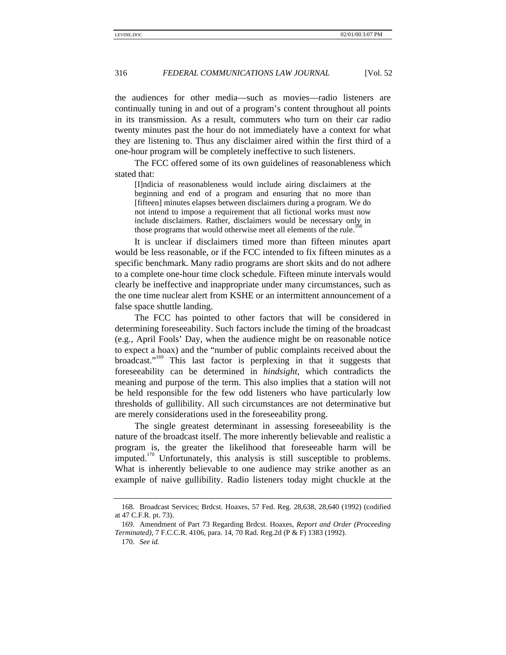the audiences for other media—such as movies—radio listeners are continually tuning in and out of a program's content throughout all points in its transmission. As a result, commuters who turn on their car radio twenty minutes past the hour do not immediately have a context for what they are listening to. Thus any disclaimer aired within the first third of a one-hour program will be completely ineffective to such listeners.

The FCC offered some of its own guidelines of reasonableness which stated that:

[I]ndicia of reasonableness would include airing disclaimers at the beginning and end of a program and ensuring that no more than [fifteen] minutes elapses between disclaimers during a program. We do not intend to impose a requirement that all fictional works must now include disclaimers. Rather, disclaimers would be necessary only in those programs that would otherwise meet all elements of the rule.<sup>1</sup>

It is unclear if disclaimers timed more than fifteen minutes apart would be less reasonable, or if the FCC intended to fix fifteen minutes as a specific benchmark. Many radio programs are short skits and do not adhere to a complete one-hour time clock schedule. Fifteen minute intervals would clearly be ineffective and inappropriate under many circumstances, such as the one time nuclear alert from KSHE or an intermittent announcement of a false space shuttle landing.

The FCC has pointed to other factors that will be considered in determining foreseeability. Such factors include the timing of the broadcast (e.g., April Fools' Day, when the audience might be on reasonable notice to expect a hoax) and the "number of public complaints received about the broadcast."<sup>169</sup> This last factor is perplexing in that it suggests that foreseeability can be determined in *hindsight*, which contradicts the meaning and purpose of the term. This also implies that a station will not be held responsible for the few odd listeners who have particularly low thresholds of gullibility. All such circumstances are not determinative but are merely considerations used in the foreseeability prong.

The single greatest determinant in assessing foreseeability is the nature of the broadcast itself. The more inherently believable and realistic a program is, the greater the likelihood that foreseeable harm will be imputed.<sup>170</sup> Unfortunately, this analysis is still susceptible to problems. What is inherently believable to one audience may strike another as an example of naive gullibility. Radio listeners today might chuckle at the

170. *See id.*

<sup>168.</sup> Broadcast Services; Brdcst. Hoaxes, 57 Fed. Reg. 28,638, 28,640 (1992) (codified at 47 C.F.R. pt. 73).

<sup>169.</sup> Amendment of Part 73 Regarding Brdcst. Hoaxes, *Report and Order (Proceeding Terminated)*, 7 F.C.C.R. 4106, para. 14, 70 Rad. Reg.2d (P & F) 1383 (1992).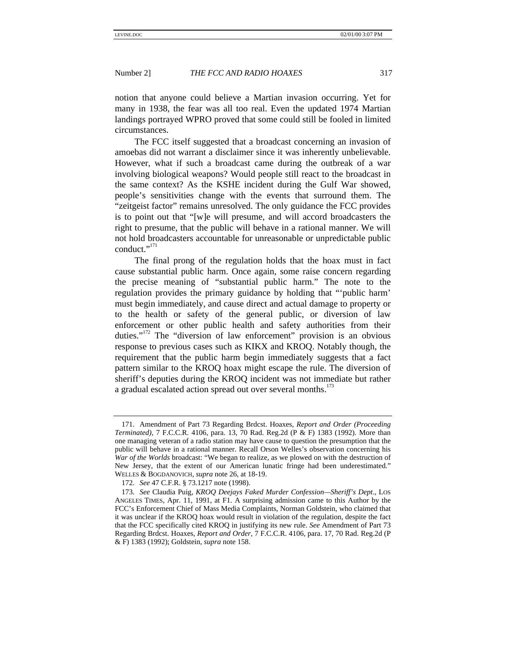notion that anyone could believe a Martian invasion occurring. Yet for many in 1938, the fear was all too real. Even the updated 1974 Martian landings portrayed WPRO proved that some could still be fooled in limited circumstances.

The FCC itself suggested that a broadcast concerning an invasion of amoebas did not warrant a disclaimer since it was inherently unbelievable. However, what if such a broadcast came during the outbreak of a war involving biological weapons? Would people still react to the broadcast in the same context? As the KSHE incident during the Gulf War showed, people's sensitivities change with the events that surround them. The "zeitgeist factor" remains unresolved. The only guidance the FCC provides is to point out that "[w]e will presume, and will accord broadcasters the right to presume, that the public will behave in a rational manner. We will not hold broadcasters accountable for unreasonable or unpredictable public conduct."<sup>171</sup>

The final prong of the regulation holds that the hoax must in fact cause substantial public harm. Once again, some raise concern regarding the precise meaning of "substantial public harm." The note to the regulation provides the primary guidance by holding that "'public harm' must begin immediately, and cause direct and actual damage to property or to the health or safety of the general public, or diversion of law enforcement or other public health and safety authorities from their duties."<sup>172</sup> The "diversion of law enforcement" provision is an obvious response to previous cases such as KIKX and KROQ. Notably though, the requirement that the public harm begin immediately suggests that a fact pattern similar to the KROQ hoax might escape the rule. The diversion of sheriff's deputies during the KROQ incident was not immediate but rather a gradual escalated action spread out over several months.<sup>173</sup>

<sup>171.</sup> Amendment of Part 73 Regarding Brdcst. Hoaxes, *Report and Order (Proceeding Terminated)*, 7 F.C.C.R. 4106, para. 13, 70 Rad. Reg.2d (P & F) 1383 (1992). More than one managing veteran of a radio station may have cause to question the presumption that the public will behave in a rational manner. Recall Orson Welles's observation concerning his *War of the Worlds* broadcast: "We began to realize, as we plowed on with the destruction of New Jersey, that the extent of our American lunatic fringe had been underestimated." WELLES & BOGDANOVICH, *supra* note 26, at 18-19.

<sup>172.</sup> *See* 47 C.F.R. § 73.1217 note (1998).

<sup>173.</sup> *See* Claudia Puig, *KROQ Deejays Faked Murder Confession—Sheriff's Dept*., LOS ANGELES TIMES, Apr. 11, 1991, at F1. A surprising admission came to this Author by the FCC's Enforcement Chief of Mass Media Complaints, Norman Goldstein, who claimed that it was unclear if the KROQ hoax would result in violation of the regulation, despite the fact that the FCC specifically cited KROQ in justifying its new rule. *See* Amendment of Part 73 Regarding Brdcst. Hoaxes, *Report and Order*, 7 F.C.C.R. 4106, para. 17, 70 Rad. Reg.2d (P & F) 1383 (1992); Goldstein, *supra* note 158.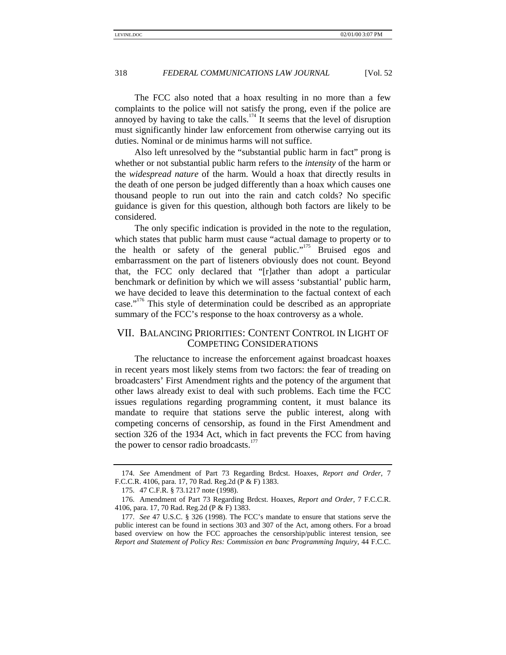The FCC also noted that a hoax resulting in no more than a few complaints to the police will not satisfy the prong, even if the police are annoyed by having to take the calls.<sup>174</sup> It seems that the level of disruption must significantly hinder law enforcement from otherwise carrying out its duties. Nominal or de minimus harms will not suffice.

Also left unresolved by the "substantial public harm in fact" prong is whether or not substantial public harm refers to the *intensity* of the harm or the *widespread nature* of the harm. Would a hoax that directly results in the death of one person be judged differently than a hoax which causes one thousand people to run out into the rain and catch colds? No specific guidance is given for this question, although both factors are likely to be considered.

The only specific indication is provided in the note to the regulation, which states that public harm must cause "actual damage to property or to the health or safety of the general public."<sup>175</sup> Bruised egos and embarrassment on the part of listeners obviously does not count. Beyond that, the FCC only declared that "[r]ather than adopt a particular benchmark or definition by which we will assess 'substantial' public harm, we have decided to leave this determination to the factual context of each case."<sup>176</sup> This style of determination could be described as an appropriate summary of the FCC's response to the hoax controversy as a whole.

# VII. BALANCING PRIORITIES: CONTENT CONTROL IN LIGHT OF COMPETING CONSIDERATIONS

The reluctance to increase the enforcement against broadcast hoaxes in recent years most likely stems from two factors: the fear of treading on broadcasters' First Amendment rights and the potency of the argument that other laws already exist to deal with such problems. Each time the FCC issues regulations regarding programming content, it must balance its mandate to require that stations serve the public interest, along with competing concerns of censorship, as found in the First Amendment and section 326 of the 1934 Act, which in fact prevents the FCC from having the power to censor radio broadcasts.<sup>177</sup>

<sup>174.</sup> *See* Amendment of Part 73 Regarding Brdcst. Hoaxes, *Report and Order*, 7 F.C.C.R. 4106, para. 17, 70 Rad. Reg.2d (P & F) 1383.

<sup>175. 47</sup> C.F.R. § 73.1217 note (1998).

<sup>176.</sup> Amendment of Part 73 Regarding Brdcst. Hoaxes, *Report and Order*, 7 F.C.C.R. 4106, para. 17, 70 Rad. Reg.2d (P & F) 1383.

<sup>177.</sup> *See* 47 U.S.C. § 326 (1998). The FCC's mandate to ensure that stations serve the public interest can be found in sections 303 and 307 of the Act, among others. For a broad based overview on how the FCC approaches the censorship/public interest tension, see *Report and Statement of Policy Res: Commission en banc Programming Inquiry*, 44 F.C.C.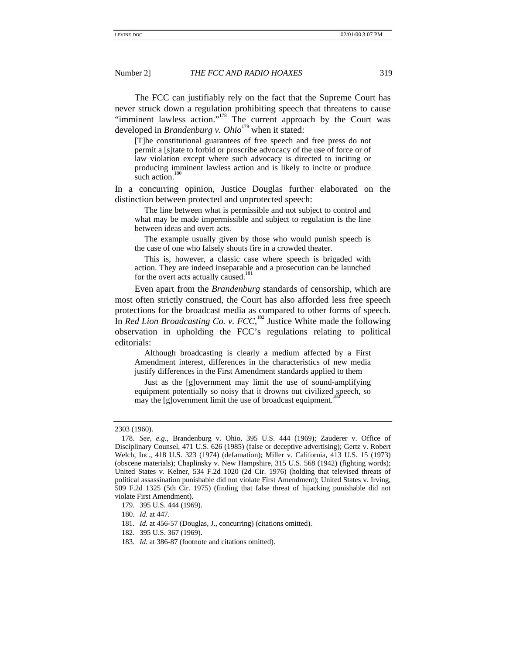The FCC can justifiably rely on the fact that the Supreme Court has never struck down a regulation prohibiting speech that threatens to cause "imminent lawless action."<sup>178</sup> The current approach by the Court was developed in *Brandenburg v. Ohio*<sup>179</sup> when it stated:

[T]he constitutional guarantees of free speech and free press do not permit a [s]tate to forbid or proscribe advocacy of the use of force or of law violation except where such advocacy is directed to inciting or producing imminent lawless action and is likely to incite or produce such action.<sup>1</sup>

In a concurring opinion, Justice Douglas further elaborated on the distinction between protected and unprotected speech:

The line between what is permissible and not subject to control and what may be made impermissible and subject to regulation is the line between ideas and overt acts.

The example usually given by those who would punish speech is the case of one who falsely shouts fire in a crowded theater.

This is, however, a classic case where speech is brigaded with action. They are indeed inseparable and a prosecution can be launched for the overt acts actually caused.<sup>1</sup>

Even apart from the *Brandenburg* standards of censorship, which are most often strictly construed, the Court has also afforded less free speech protections for the broadcast media as compared to other forms of speech. In *Red Lion Broadcasting Co. v.*  $FCC$ *,*<sup>182</sup> Justice White made the following observation in upholding the FCC's regulations relating to political editorials:

Although broadcasting is clearly a medium affected by a First Amendment interest, differences in the characteristics of new media justify differences in the First Amendment standards applied to them

Just as the [g]overnment may limit the use of sound-amplifying equipment potentially so noisy that it drowns out civilized speech, so may the [g]overnment limit the use of broadcast equipment.<sup>1</sup>

<sup>2303 (1960).</sup>

<sup>178.</sup> *See, e.g.*, Brandenburg v. Ohio, 395 U.S. 444 (1969); Zauderer v. Office of Disciplinary Counsel, 471 U.S. 626 (1985) (false or deceptive advertising); Gertz v. Robert Welch, Inc., 418 U.S. 323 (1974) (defamation); Miller v. California, 413 U.S. 15 (1973) (obscene materials); Chaplinsky v. New Hampshire, 315 U.S. 568 (1942) (fighting words); United States v. Kelner, 534 F.2d 1020 (2d Cir. 1976) (holding that televised threats of political assassination punishable did not violate First Amendment); United States v. Irving, 509 F.2d 1325 (5th Cir. 1975) (finding that false threat of hijacking punishable did not violate First Amendment).

<sup>179. 395</sup> U.S. 444 (1969).

<sup>180.</sup> *Id.* at 447.

<sup>181.</sup> *Id.* at 456-57 (Douglas, J., concurring) (citations omitted).

<sup>182. 395</sup> U.S. 367 (1969).

<sup>183.</sup> *Id.* at 386-87 (footnote and citations omitted).